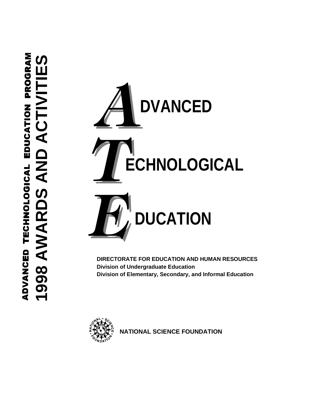

 **DIRECTORATE FOR EDUCATION AND HUMAN RESOURCES Division of Undergraduate Education Division of Elementary, Secondary, and Informal Education**



 **NATIONAL SCIENCE FOUNDATION**

# PROGRAM ADVANCED TECHNOLOGICAL EDUCATION PROGRAM  **1998 AWARDS AND ACTIVITIES**ဟ ADVANCED TECHNOLOGICAL EDUCATION **し** 998 AWARDS AND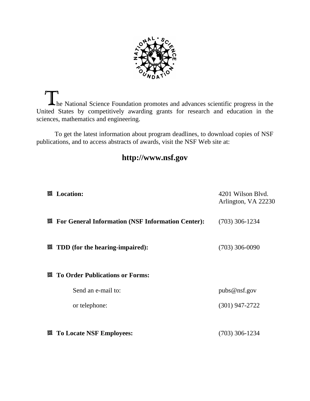

The National Science Foundation promotes and advances scientific progress in the United States by competitively awarding grants for research and education in the sciences, mathematics and engineering.

To get the latest information about program deadlines, to download copies of NSF publications, and to access abstracts of awards, visit the NSF Web site at:

# **http://www.nsf.gov**

| 圓 | <b>Location:</b>                                         | 4201 Wilson Blvd.<br>Arlington, VA 22230 |
|---|----------------------------------------------------------|------------------------------------------|
| 回 | <b>For General Information (NSF Information Center):</b> | $(703)$ 306-1234                         |
| 回 | TDD (for the hearing-impaired):                          | $(703)$ 306-0090                         |
| 回 | <b>To Order Publications or Forms:</b>                   |                                          |
|   | Send an e-mail to:                                       | pubs@nsf.gov                             |
|   | or telephone:                                            | $(301)$ 947-2722                         |
|   |                                                          |                                          |
| 回 | <b>To Locate NSF Employees:</b>                          | $(703)$ 306-1234                         |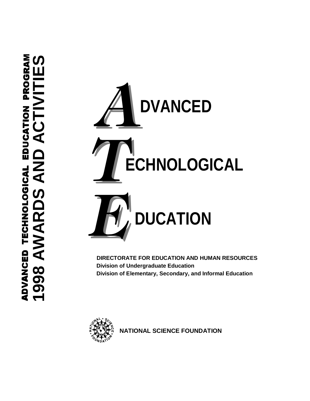

 **DIRECTORATE FOR EDUCATION AND HUMAN RESOURCES Division of Undergraduate Education Division of Elementary, Secondary, and Informal Education**



 **NATIONAL SCIENCE FOUNDATION**

ADVANCED TECHNOLOGICAL EDUCATION PROGRAM  **1998 AWARDS AND ACTIVITIES**PROGRAI EDUCATION Z<br>4 ADVANCED TECHNOLOGICAL  $\overline{\mathbf{C}}$  $\frac{\mathsf{C}}{\mathsf{R}}$ 998 AWA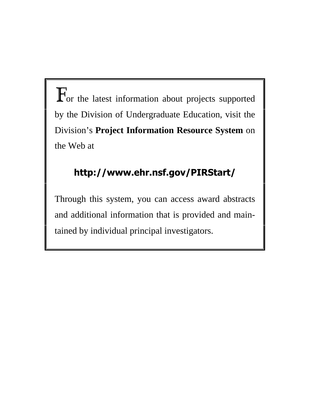$\mathbf F$ or the latest information about projects supported by the Division of Undergraduate Education, visit the Division's **Project Information Resource System** on the Web at

# **http://www.ehr.nsf.gov/PIRStart/**

Through this system, you can access award abstracts and additional information that is provided and maintained by individual principal investigators.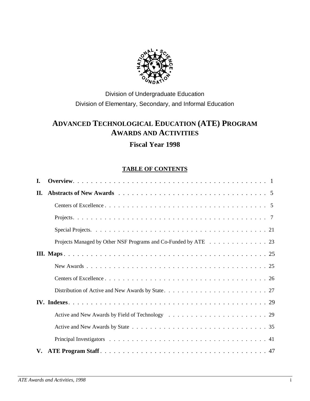

# Division of Undergraduate Education Division of Elementary, Secondary, and Informal Education

# **ADVANCED TECHNOLOGICAL EDUCATION (ATE) PROGRAM AWARDS AND ACTIVITIES**

# **Fiscal Year 1998**

# **TABLE OF CONTENTS**

| L. |                                                                |
|----|----------------------------------------------------------------|
| П. |                                                                |
|    |                                                                |
|    |                                                                |
|    |                                                                |
|    | Projects Managed by Other NSF Programs and Co-Funded by ATE 23 |
|    |                                                                |
|    |                                                                |
|    |                                                                |
|    |                                                                |
|    |                                                                |
|    |                                                                |
|    |                                                                |
|    |                                                                |
| V. |                                                                |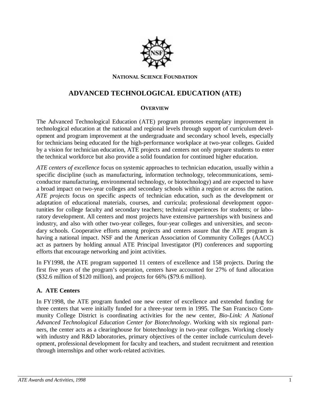

#### **NATIONAL SCIENCE FOUNDATION**

# **ADVANCED TECHNOLOGICAL EDUCATION (ATE)**

# **OVERVIEW**

The Advanced Technological Education (ATE) program promotes exemplary improvement in technological education at the national and regional levels through support of curriculum development and program improvement at the undergraduate and secondary school levels, especially for technicians being educated for the high-performance workplace at two-year colleges. Guided by a vision for technician education, ATE projects and centers not only prepare students to enter the technical workforce but also provide a solid foundation for continued higher education.

*ATE centers of excellence* focus on systemic approaches to technician education, usually within a specific discipline (such as manufacturing, information technology, telecommunications, semiconductor manufacturing, environmental technology, or biotechnology) and are expected to have a broad impact on two-year colleges and secondary schools within a region or across the nation. *ATE projects* focus on specific aspects of technician education, such as the development or adaptation of educational materials, courses, and curricula; professional development opportunities for college faculty and secondary teachers; technical experiences for students; or laboratory development. All centers and most projects have extensive partnerships with business and industry, and also with other two-year colleges, four-year colleges and universities, and secondary schools. Cooperative efforts among projects and centers assure that the ATE program is having a national impact. NSF and the American Association of Community Colleges (AACC) act as partners by holding annual ATE Principal Investigator (PI) conferences and supporting efforts that encourage networking and joint activities.

In FY1998, the ATE program supported 11 centers of excellence and 158 projects. During the first five years of the program's operation, centers have accounted for 27% of fund allocation (\$32.6 million of \$120 million), and projects for 66% (\$79.6 million).

# **A. ATE Centers**

In FY1998, the ATE program funded one new center of excellence and extended funding for three centers that were initially funded for a three-year term in 1995. The San Francisco Community College District is coordinating activities for the new center, *Bio-Link: A National Advanced Technological Education Center for Biotechnology*. Working with six regional partners, the center acts as a clearinghouse for biotechnology in two-year colleges. Working closely with industry and R&D laboratories, primary objectives of the center include curriculum development, professional development for faculty and teachers, and student recruitment and retention through internships and other work-related activities.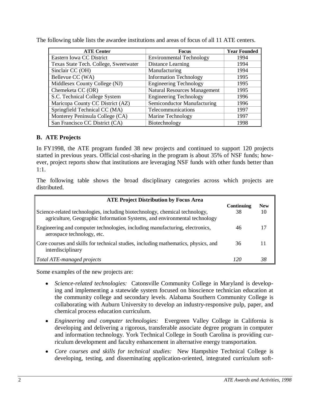| <b>ATE Center</b>                     | <b>Focus</b>                        | <b>Year Founded</b> |
|---------------------------------------|-------------------------------------|---------------------|
| Eastern Iowa CC District              | <b>Environmental Technology</b>     | 1994                |
| Texas State Tech. College, Sweetwater | Distance Learning                   | 1994                |
| Sinclair CC (OH)                      | Manufacturing                       | 1994                |
| Bellevue CC (WA)                      | <b>Information Technology</b>       | 1995                |
| Middlesex County College (NJ)         | <b>Engineering Technology</b>       | 1995                |
| Chemeketa CC (OR)                     | <b>Natural Resources Management</b> | 1995                |
| S.C. Technical College System         | <b>Engineering Technology</b>       | 1996                |
| Maricopa County CC District (AZ)      | Semiconductor Manufacturing         | 1996                |
| Springfield Technical CC (MA)         | Telecommunications                  | 1997                |
| Monterey Peninsula College (CA)       | Marine Technology                   | 1997                |
| San Francisco CC District (CA)        | Biotechnology                       | 1998                |

The following table lists the awardee institutions and areas of focus of all 11 ATE centers.

## **B. ATE Projects**

In FY1998, the ATE program funded 38 new projects and continued to support 120 projects started in previous years. Official cost-sharing in the program is about 35% of NSF funds; however, project reports show that institutions are leveraging NSF funds with other funds better than 1:1.

The following table shows the broad disciplinary categories across which projects are distributed.

| <b>ATE Project Distribution by Focus Area</b>                                                                                                            |                  |                  |
|----------------------------------------------------------------------------------------------------------------------------------------------------------|------------------|------------------|
| Science-related technologies, including biotechnology, chemical technology,<br>agriculture, Geographic Information Systems, and environmental technology | Continuing<br>38 | <b>New</b><br>10 |
| Engineering and computer technologies, including manufacturing, electronics,<br>aerospace technology, etc.                                               | 46               |                  |
| Core courses and skills for technical studies, including mathematics, physics, and<br>interdisciplinary                                                  | 36               |                  |
| Total ATE-managed projects                                                                                                                               |                  |                  |

Some examples of the new projects are:

- **•** *Science-related technologies:* Catonsville Community College in Maryland is developing and implementing a statewide system focused on bioscience technician education at the community college and secondary levels. Alabama Southern Community College is collaborating with Auburn University to develop an industry-responsive pulp, paper, and chemical process education curriculum.
- x *Engineering and computer technologies:* Evergreen Valley College in California is developing and delivering a rigorous, transferable associate degree program in computer and information technology. York Technical College in South Carolina is providing curriculum development and faculty enhancement in alternative energy transportation.
- x *Core courses and skills for technical studies:* New Hampshire Technical College is developing, testing, and disseminating application-oriented, integrated curriculum soft-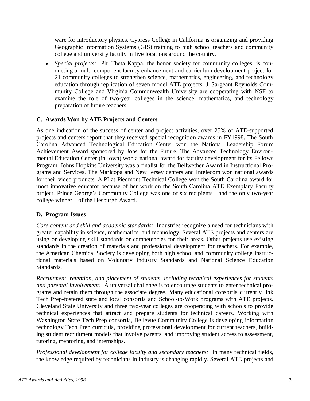ware for introductory physics. Cypress College in California is organizing and providing Geographic Information Systems (GIS) training to high school teachers and community college and university faculty in five locations around the country.

 $\bullet$  *Special projects:* Phi Theta Kappa, the honor society for community colleges, is conducting a multi-component faculty enhancement and curriculum development project for 21 community colleges to strengthen science, mathematics, engineering, and technology education through replication of seven model ATE projects. J. Sargeant Reynolds Community College and Virginia Commonwealth University are cooperating with NSF to examine the role of two-year colleges in the science, mathematics, and technology preparation of future teachers.

# **C. Awards Won by ATE Projects and Centers**

As one indication of the success of center and project activities, over 25% of ATE-supported projects and centers report that they received special recognition awards in FY1998. The South Carolina Advanced Technological Education Center won the National Leadership Forum Achievement Award sponsored by Jobs for the Future. The Advanced Technology Environmental Education Center (in Iowa) won a national award for faculty development for its Fellows Program. Johns Hopkins University was a finalist for the Bellwether Award in Instructional Programs and Services. The Maricopa and New Jersey centers and Intelecom won national awards for their video products. A PI at Piedmont Technical College won the South Carolina award for most innovative educator because of her work on the South Carolina ATE Exemplary Faculty project. Prince George's Community College was one of six recipients—and the only two-year college winner—of the Hesburgh Award.

# **D. Program Issues**

*Core content and skill and academic standards:* Industries recognize a need for technicians with greater capability in science, mathematics, and technology. Several ATE projects and centers are using or developing skill standards or competencies for their areas. Other projects use existing standards in the creation of materials and professional development for teachers. For example, the American Chemical Society is developing both high school and community college instructional materials based on Voluntary Industry Standards and National Science Education Standards.

*Recruitment, retention, and placement of students, including technical experiences for students and parental involvement:* A universal challenge is to encourage students to enter technical programs and retain them through the associate degree. Many educational consortia currently link Tech Prep-fostered state and local consortia and School-to-Work programs with ATE projects. Cleveland State University and three two-year colleges are cooperating with schools to provide technical experiences that attract and prepare students for technical careers. Working with Washington State Tech Prep consortia, Bellevue Community College is developing information technology Tech Prep curricula, providing professional development for current teachers, building student recruitment models that involve parents, and improving student access to assessment, tutoring, mentoring, and internships.

*Professional development for college faculty and secondary teachers:*In many technical fields, the knowledge required by technicians in industry is changing rapidly. Several ATE projects and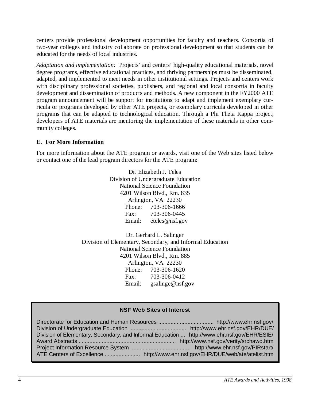centers provide professional development opportunities for faculty and teachers. Consortia of two-year colleges and industry collaborate on professional development so that students can be educated for the needs of local industries.

*Adaptation and implementation:*Projects' and centers' high-quality educational materials, novel degree programs, effective educational practices, and thriving partnerships must be disseminated, adapted, and implemented to meet needs in other institutional settings. Projects and centers work with disciplinary professional societies, publishers, and regional and local consortia in faculty development and dissemination of products and methods. A new component in the FY2000 ATE program announcement will be support for institutions to adapt and implement exemplary curricula or programs developed by other ATE projects, or exemplary curricula developed in other programs that can be adapted to technological education. Through a Phi Theta Kappa project, developers of ATE materials are mentoring the implementation of these materials in other community colleges.

## **E. For More Information**

For more information about the ATE program or awards, visit one of the Web sites listed below or contact one of the lead program directors for the ATE program:

> Dr. Elizabeth J. Teles Division of Undergraduate Education National Science Foundation 4201 Wilson Blvd., Rm. 835 Arlington, VA 22230 Phone: 703-306-1666 Fax: 703-306-0445 Email: eteles@nsf.gov

Dr. Gerhard L. Salinger Division of Elementary, Secondary, and Informal Education National Science Foundation 4201 Wilson Blvd., Rm. 885 Arlington, VA 22230 Phone: 703-306-1620 Fax: 703-306-0412 Email: gsalinge@nsf.gov

## **NSF Web Sites of Interest**

Directorate for Education and Human Resources .................................... http://www.ehr.nsf.gov/ Division of Undergraduate Education ..................................... http://www.ehr.nsf.gov/EHR/DUE/ Division of Elementary, Secondary, and Informal Education ... http://www.ehr.nsf.gov/EHR/ESIE/ Award Abstracts ............................................................... http://www.nsf.gov/verity/srchawd.htm Project Information Resource System ....................................... http://www.ehr.nsf.gov/PIRstart/ ATE Centers of Excellence ....................... http://www.ehr.nsf.gov/EHR/DUE/web/ate/atelist.htm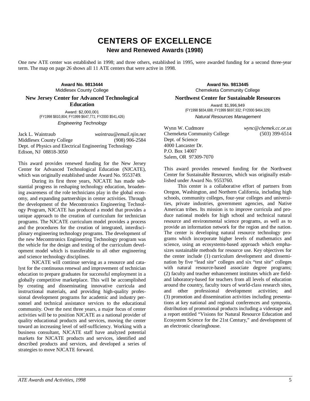# **CENTERS OF EXCELLENCE New and Renewed Awards (1998)**

One new ATE center was established in 1998; and three others, established in 1995, were awarded funding for a second three-year term. The map on page 26 shows all 11 ATE centers that were active in 1998.

> **Award No. 9813444** Middlesex County College

**New Jersey Center for Advanced Technological Education**

Award: \$2,000,001 (FY1998 \$810,804; FY1999 \$647,771; FY2000 \$541,426) Engineering Technology

Jack L. Waintraub *waintrau@email.njin.net* Middlesex County College (908) 906-2584 Dept. of Physics and Electrical Engineering Technology Edison, NJ 08818-3050

This award provides renewed funding for the New Jersey Center for Advanced Technological Education (NJCATE), which was originally established under Award No. 9553749.

During its first three years, NJCATE has made substantial progress in reshaping technology education, broadening awareness of the role technicians play in the global economy, and expanding partnerships in center activities. Through the development of the Mecomtronics Engineering Technology Program, NJCATE has produced a model that provides a unique approach to the creation of curriculum for technician programs. The NJCATE curriculum model provides a process and the procedures for the creation of integrated, interdisciplinary engineering technology programs. The development of the new Mecomtronics Engineering Technology program was the vehicle for the design and testing of the curriculum development model which is transferable to all other engineering and science technology disciplines.

NJCATE will continue serving as a resource and catalyst for the continuous renewal and improvement of technician education to prepare graduates for successful employment in a globally competitive marketplace. This will be accomplished by creating and disseminating innovative curricula and instructional materials, and providing high-quality professional development programs for academic and industry personnel and technical assistance services to the educational community. Over the next three years, a major focus of center activities will be to position NJCATE as a national provider of quality educational products and services, moving the center toward an increasing level of self-sufficiency. Working with a business consultant, NJCATE staff have analyzed potential markets for NJCATE products and services, identified and described products and services, and developed a series of strategies to move NJCATE forward.

**Award No. 9813445** Chemeketa Community College

**Northwest Center for Sustainable Resources**

Award: \$1,996,949 (FY1998 \$834,688; FY1999 \$697,932; FY2000 \$464,329) Natural Resources Management

Wynn W. Cudmore *wync@chemek.cc.or.us* Chemeketa Community College (503) 399-6514 Dept. of Science 4000 Lancaster Dr. P.O. Box 14007 Salem, OR 97309-7070

This award provides renewed funding for the Northwest Center for Sustainable Resources, which was originally established under Award No. 9553760.

This center is a collaborative effort of partners from Oregon, Washington, and Northern California, including high schools, community colleges, four-year colleges and universities, private industries, government agencies, and Native American tribes. Its mission is to improve curricula and produce national models for high school and technical natural resource and environmental science programs, as well as to provide an information network for the region and the nation. The center is developing natural resource technology programs which incorporate higher levels of mathematics and science, using an ecosystems-based approach which emphasizes sustainable methods for resource use. Key objectives for the center include (1) curriculum development and dissemination by five "lead site" colleges and six "test site" colleges with natural resource-based associate degree programs; (2) faculty and teacher enhancement institutes which are fieldand laboratory-based for teachers from all levels of education around the country, faculty tours of world-class research sites, and other professional development activities; and (3) promotion and dissemination activities including presentations at key national and regional conferences and symposia, distribution of promotional products including a videotape and a report entitled "Visions for Natural Resource Education and Ecosystem Science for the 21st Century," and development of an electronic clearinghouse.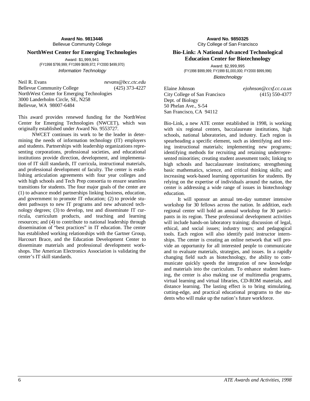**Award No. 9813446** Bellevue Community College

#### **NorthWest Center for Emerging Technologies**

Award: \$1,999,941 (FY1998 \$799,999; FY1999 \$699,972; FY2000 \$499,970) Information Technology

Neil R. Evans *nevans@bcc.ctc.edu* Bellevue Community College (425) 373-4227 NorthWest Center for Emerging Technologies 3000 Landerholm Circle, SE, N258 Bellevue, WA 98007-6484

This award provides renewed funding for the NorthWest Center for Emerging Technologies (NWCET), which was originally established under Award No. 9553727.

NWCET continues its work to be the leader in determining the needs of information technology (IT) employers and students. Partnerships with leadership organizations representing corporations, professional societies, and educational institutions provide direction, development, and implementation of IT skill standards, IT curricula, instructional materials, and professional development of faculty. The center is establishing articulation agreements with four year colleges and with high schools and Tech Prep consortia to ensure seamless transitions for students. The four major goals of the center are (1) to advance model partnerships linking business, education, and government to promote IT education; (2) to provide student pathways to new IT programs and new advanced technology degrees; (3) to develop, test and disseminate IT curricula, curriculum products, and teaching and learning resources; and (4) to contribute to national leadership through dissemination of "best practices" in IT education. The center has established working relationships with the Gartner Group, Harcourt Brace, and the Education Development Center to disseminate materials and professional development workshops. The American Electronics Association is validating the center's IT skill standards.

**Award No. 9850325** City College of San Francisco

#### **Bio-Link: A National Advanced Technological Education Center for Biotechnology**

Award: \$2,999,995 (FY1998 \$999,999; FY1999 \$1,000,000; FY2000 \$999,996) **Biotechnology** 

Elaine Johnson *ejohnson@ccsf.cc.ca.us* City College of San Francisco (415) 550-4377 Dept. of Biology 50 Phelan Ave., S-54 San Francisco, CA 94112

Bio-Link, a new ATE center established in 1998, is working with six regional centers, baccalaureate institutions, high schools, national laboratories, and industry. Each region is spearheading a specific element, such as identifying and testing instructional materials; implementing new programs; identifying methods for recruiting and retaining underrepresented minorities; creating student assessment tools; linking to high schools and baccalaureate institutions; strengthening basic mathematics, science, and critical thinking skills; and increasing work-based learning opportunities for students. By relying on the expertise of individuals around the nation, the center is addressing a wide range of issues in biotechnology education.

It will sponsor an annual ten-day summer intensive workshop for 30 fellows across the nation. In addition, each regional center will hold an annual workshop for 30 participants in its region. These professional development activities will include hands-on laboratory training; discussion of legal, ethical, and social issues; industry tours; and pedagogical tools. Each region will also identify paid instructor internships. The center is creating an online network that will provide an opportunity for all interested people to communicate and to evaluate materials, strategies, and issues. In a rapidly changing field such as biotechnology, the ability to communicate quickly speeds the integration of new knowledge and materials into the curriculum. To enhance student learning, the center is also making use of multimedia programs, virtual learning and virtual libraries, CD-ROM materials, and distance learning. The lasting effect is to bring stimulating, cutting-edge, and practical educational programs to the students who will make up the nation's future workforce.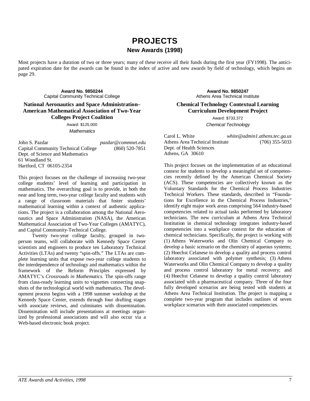# **PROJECTS New Awards (1998)**

Most projects have a duration of two or three years; many of these receive all their funds during the first year (FY1998). The anticipated expiration date for the awards can be found in the index of active and new awards by field of technology, which begins on page 29.

**Award No. 9850244** Capital Community Technical College

**National Aeronautics and Space Administration– American Mathematical Association of Two-Year Colleges Project Coalition**

> Award: \$125,000 **Mathematics**

John S. Pazdar *pazdar@commnet.edu* Capital Community Technical College (860) 520-7851 Dept. of Science and Mathematics 61 Woodland St. Hartford, CT 06105-2354

This project focuses on the challenge of increasing two-year college students' level of learning and participation in mathematics. The overarching goal is to provide, in both the near and long term, two-year college faculty and students with a range of classroom materials that foster students' mathematical learning within a context of authentic applications. The project is a collaboration among the National Aeronautics and Space Administration (NASA), the American Mathematical Association of Two-Year Colleges (AMATYC), and Capital Community-Technical College.

Twenty two-year college faculty, grouped in twoperson teams, will collaborate with Kennedy Space Center scientists and engineers to produce ten Laboratory Technical Activities (LTAs) and twenty "spin-offs." The LTAs are complete learning units that expose two-year college students to the interdependence of technology and mathematics within the framework of the Reform Principles expressed by AMATYC's *Crossroads in Mathematics*. The spin-offs range from class-ready learning units to vignettes connecting snapshots of the technological world with mathematics. The development process begins with a 1998 summer workshop at the Kennedy Space Center, extends through four drafting stages with associate reviews, and culminates with dissemination. Dissemination will include presentations at meetings organized by professional associations and will also occur via a Web-based electronic book project.

**Award No. 9850247** Athens Area Technical Institute

#### **Chemical Technology Contextual Learning Curriculum Development Project**

Award: \$733,372 Chemical Technology

Carol L. White *white@admin1.athens.tec.ga.us* Athens Area Technical Institute (706) 355-5033 Dept. of Health Sciences Athens, GA 30610

This project focuses on the implementation of an educational context for students to develop a meaningful set of competencies recently defined by the American Chemical Society (ACS). These competencies are collectively known as the Voluntary Standards for the Chemical Process Industries Technical Workers. These standards, described in "Foundations for Excellence in the Chemical Process Industries," identify eight major work areas comprising 564 industry-based competencies related to actual tasks performed by laboratory technicians. The new curriculum at Athens Area Technical Institution in chemical technology integrates industry-based competencies into a workplace context for the education of chemical technicians. Specifically, the project is working with (1) Athens Waterworks and Olin Chemical Company to develop a basic scenario on the chemistry of aqueous systems; (2) Hoechst Celanese to develop a quality and process control laboratory associated with polymer synthesis; (3) Athens Waterworks and Olin Chemical Company to develop a quality and process control laboratory for metal recovery; and (4) Hoechst Celanese to develop a quality control laboratory associated with a pharmaceutical company. Three of the four fully developed scenarios are being tested with students at Athens Area Technical Institution. The project is mapping a complete two-year program that includes outlines of seven workplace scenarios with their associated competencies.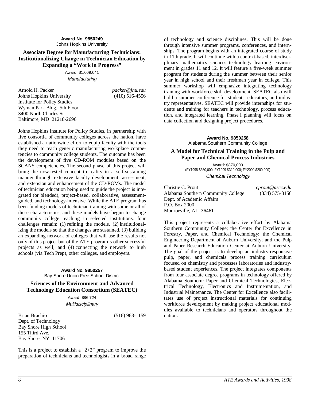#### **Award No. 9850249** Johns Hopkins University

#### **Associate Degree for Manufacturing Technicians: Institutionalizing Change in Technician Education by Expanding a "Work in Progress"**

Award: \$1,009,041 **Manufacturing** 

Arnold H. Packer *packer@jhu.edu* Johns Hopkins University Institute for Policy Studies Wyman Park Bldg., 5th Floor 3400 North Charles St. Baltimore, MD 21218-2696

Johns Hopkins Institute for Policy Studies, in partnership with five consortia of community colleges across the nation, have established a nationwide effort to equip faculty with the tools they need to teach generic manufacturing workplace competencies to community college students. The outcome has been the development of five CD-ROM modules based on the SCANS competencies. The second phase of this project will bring the now-tested concept to reality in a self-sustaining manner through extensive faculty development, assessment, and extension and enhancement of the CD-ROMs. The model of technician education being used to guide the project is integrated (or blended), project-based, collaborative, assessmentguided, and technology-intensive. While the ATE program has been funding models of technician training with some or all of these characteristics, and these models have begun to change community college teaching in selected institutions, four challenges remain: (1) refining the models, (2) institutionalizing the models so that the changes are sustained, (3) building an expanding network of colleges that will use the results not only of this project but of the ATE program's other successful projects as well, and (4) connecting the network to high schools (via Tech Prep), other colleges, and employers.

> **Award No. 9850257** Bay Shore Union Free School District

**Sciences of the Environment and Advanced Technology Education Consortium (SEATEC)**

Award: \$86,724

**Multidisciplinary** 

Brian Brachio (516) 968-1159 Dept. of Technology Bay Shore High School 155 Third Ave. Bay Shore, NY 11706

This is a project to establish a " $2+2$ " program to improve the preparation of technicians and technologists in a broad range of technology and science disciplines. This will be done through intensive summer programs, conferences, and internships. The program begins with an integrated course of study in 11th grade. It will continue with a context-based, interdisciplinary mathematics–sciences–technology learning environment in grades 11 and 12. It will feature a five-week summer program for students during the summer between their senior year in high school and their freshman year in college. This summer workshop will emphasize integrating technology training with workforce skill development. SEATEC also will hold a summer conference for students, educators, and industry representatives. SEATEC will provide internships for students and training for teachers in technology, process education, and integrated learning. Phase I planning will focus on data collection and designing project procedures.

> **Award No. 9850258** Alabama Southern Community College

#### **A Model for Technical Training in the Pulp and Paper and Chemical Process Industries**

Award: \$870,000 (FY1998 \$360,000; FY1999 \$310,000; FY2000 \$200,000) Chemical Technology

Christie C. Prout *cprout@ascc.edu* Alabama Southern Community College Dept. of Academic Affairs P.O. Box 2000 Monroeville, AL 36461

This project represents a collaborative effort by Alabama Southern Community College; the Center for Excellence in Forestry, Paper, and Chemical Technology; the Chemical Engineering Department of Auburn University; and the Pulp and Paper Research Education Center at Auburn University. The goal of the project is to develop an industry-responsive pulp, paper, and chemicals process training curriculum focused on chemistry and processes laboratories and industrybased student experiences. The project integrates components from four associate degree programs in technology offered by Alabama Southern: Paper and Chemical Technologies, Electrical Technology, Electronics and Instrumentation, and Industrial Maintenance. The Center for Excellence also facilitates use of project instructional materials for continuing workforce development by making project educational modules available to technicians and operators throughout the nation.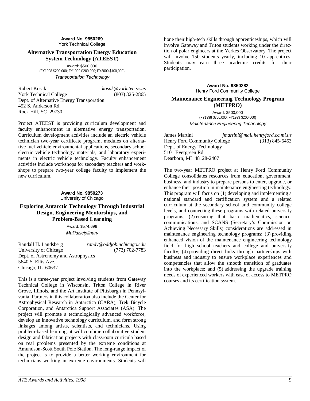#### **Award No. 9850269** York Technical College

#### **Alternative Transportation Energy Education System Technology (ATEEST)**

Award: \$500,000 (FY1998 \$200,000; FY1999 \$200,000; FY2000 \$100,000) Transportation Technology

Robert Kosak *kosak@york.tec.sc.us* York Technical College (803) 325-2865 Dept. of Alternative Energy Transporation 452 S. Anderson Rd. Rock Hill, SC 29730

Project ATEEST is providing curriculum development and faculty enhancement in alternative energy transportation. Curriculum development activities include an electric vehicle technician two-year certificate program, modules on alternative fuel vehicle environmental applications, secondary school electric vehicle technology materials, and laboratory experiments in electric vehicle technology. Faculty enhancement activities include workshops for secondary teachers and workshops to prepare two-year college faculty to implement the new curriculum.

#### **Award No. 9850273** University of Chicago

**Exploring Antarctic Technology Through Industrial Design, Engineering Mentorships, and Problem-Based Learning**

> Award: \$574,699 Multidisciplinary

Randall H. Landsberg *randy@oddjob.uchicago.edu* University of Chicago (773) 702-7783 Dept. of Astronomy and Astrophysics 5640 S. Ellis Ave. Chicago, IL 60637

This is a three-year project involving students from Gateway Technical College in Wisconsin, Triton College in River Grove, Illinois, and the Art Institute of Pittsburgh in Pennsylvania. Partners in this collaboration also include the Center for Astrophysical Research in Antarctica (CARA), Trek Bicycle Corporation, and Antarctica Support Associates (ASA). The project will promote a technologically advanced workforce, develop an innovative technology curriculum, and form strong linkages among artists, scientists, and technicians. Using problem-based learning, it will combine collaborative student design and fabrication projects with classroom curricula based on real problems presented by the extreme conditions at Amundson-Scott South Pole Station. The long-range impact of the project is to provide a better working environment for technicians working in extreme environments. Students will

hone their high-tech skills through apprenticeships, which will involve Gateway and Triton students working under the direction of polar engineers at the Yerkes Observatory. The project will involve 150 students yearly, including 10 apprentices. Students may earn three academic credits for their participation.

> **Award No. 9850282** Henry Ford Community College

#### **Maintenance Engineering Technology Program (METPRO)**

Award: \$500,000 (FY1998 \$300,000; FY1999 \$200,000) Maintenance Engineering Technology

James Martini *jmartini@mail.henryford.cc.mi.us* Henry Ford Community College Dept. of Energy Technology 5101 Evergreen Rd. Dearborn, MI 48128-2407

The two-year METPRO project at Henry Ford Community College consolidates resources from education, government, business, and industry to prepare persons to enter, upgrade, or enhance their position in maintenance engineering technology. This program will focus on (1) developing and implementing a national standard and certification system and a related curriculum at the secondary school and community college levels, and connecting these programs with related university programs; (2) ensuring that basic mathematics, science, communications, and SCANS (Secretary's Commission on Achieving Necessary Skills) considerations are addressed in maintenance engineering technology programs; (3) providing enhanced vision of the maintenance engineering technology field for high school teachers and college and university faculty; (4) providing direct links through partnerships with business and industry to ensure workplace experiences and competencies that allow the smooth transition of graduates into the workplace; and (5) addressing the upgrade training needs of experienced workers with ease of access to METPRO courses and its certification system.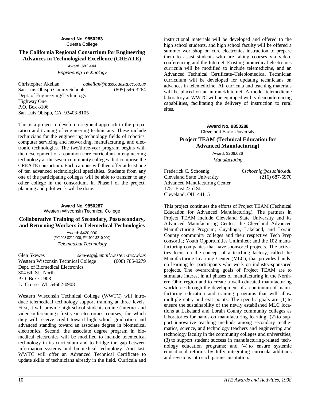#### **Award No. 9850283** Cuesta College

#### **The California Regional Consortium for Engineering Advances in Technological Excellence (CREATE)**

#### Award: \$82,444 Engineering Technology

Christopher Akelian *cakelian@bass.cuesta.cc.ca.us* San Luis Obispo County Schools (805) 546-3264 Dept. of Engineering/Technology Highway One P.O. Box 8106 San Luis Obispo, CA 93403-8105

This is a project to develop a regional approach to the preparation and training of engineering technicians. These include technicians for the engineering technology fields of robotics, computer servicing and networking, manufacturing, and electronic technologies. The two/three-year program begins with the development of a common core curriculum in engineering technology at the seven community colleges that comprise the CREATE consortium. Each campus will then offer at least one of ten advanced technological specialties. Students from any one of the participating colleges will be able to transfer to any other college in the consortium. In Phase I of the project, planning and pilot work will be done.

#### **Award No. 9850287** Western Wisconsin Technical College

#### **Collaborative Training of Secondary, Postsecondary, and Returning Workers in Telemedical Technologies**

Award: \$420,000 (FY1998 \$210,000; FY1999 \$210,000) Telemedical Technology

Glen Skewes *skewesg@email.western.tec.wi.us* Western Wisconsin Technical College (608) 785-9279 Dept. of Biomedical Electronics 304 6th St., North P.O. Box C-908 La Crosse, WI 54602-0908

Western Wisconsin Technical College (WWTC) will introduce telemedical technology support training at three levels. First, it will provide high school students online (Internet and videoconferencing) first-year electronics courses, for which they will receive credit toward high school graduation and advanced standing toward an associate degree in biomedical electronics. Second, the associate degree program in biomedical electronics will be modified to include telemedical technology in its curriculum and to bridge the gap between information systems and biomedical technology. And last, WWTC will offer an Advanced Technical Certificate to update skills of technicians already in the field. Curricula and

instructional materials will be developed and offered to the high school students, and high school faculty will be offered a summer workshop on core electronics instruction to prepare them to assist students who are taking courses via videoconferencing and the Internet. Existing biomedical electronics curricula will be modified to include telemedicine, and an Advanced Technical Certificate–Telebiomedical Technician curriculum will be developed for updating technicians on advances in telemedicine. All curricula and teaching materials will be placed on an intranet/Internet. A model telemedicine laboratory at WWTC will be equipped with videoconferencing capabilities, facilitating the delivery of instruction to rural sites.

#### **Award No. 9850288** Cleveland State University

#### **Project TEAM (Technical Education for Advanced Manufacturing)**

Award: \$206,026 **Manufacturing** 

Frederick C. Schoenig *f.schoenig@csuohio.edu* Cleveland State University (216) 687-6970 Advanced Manufacturing Center 1751 East 23rd St. Cleveland, OH 44115

This project continues the efforts of Project TEAM (Technical Education for Advanced Manufacturing). The partners in Project TEAM include Cleveland State University and its Advanced Manufacturing Center; the Cleveland Advanced Manufacturing Program; Cuyahoga, Lakeland, and Lorain County community colleges and their respective Tech Prep consortia; Youth Opportunities Unlimited; and the 102 manufacturing companies that have sponsored projects. The activities focus on the concept of a teaching factory, called the Manufacturing Learning Center (MLC), that provides handson learning for participants who work on industry-sponsored projects. The overarching goals of Project TEAM are to stimulate interest in all phases of manufacturing in the Northern Ohio region and to create a well-educated manufacturing workforce through the development of a continuum of manufacturing education and training programs that will allow multiple entry and exit points. The specific goals are (1) to ensure the sustainability of the newly established MLC locations at Lakeland and Lorain County community colleges as laboratories for hands-on manufacturing learning; (2) to support innovative teaching methods among secondary mathematics, science, and technology teachers and engineering and technology faculty in the community colleges and universities; (3) to support student success in manufacturing-related technology education programs; and (4) to ensure systemic educational reforms by fully integrating curricula additions and revisions into each partner institution.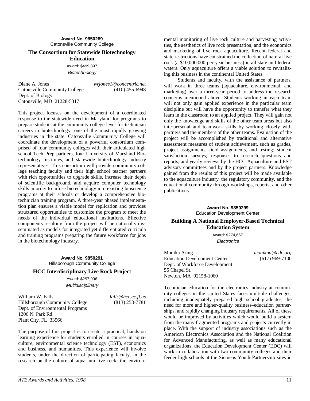**Award No. 9850289** Catonsville Community College

#### **The Consortium for Statewide Biotechnology Education**

Award: \$499,897 **Biotechnology** 

Diane A. Jones *wrjones1@concentric.net* Catonsville Community College (410) 455-6948 Dept. of Biology Catonsville, MD 21228-5317

This project focuses on the development of a coordinated response to the statewide need in Maryland for programs to prepare students at the community college level for technician careers in biotechnology, one of the most rapidly growing industries in the state. Catonsville Community College will coordinate the development of a powerful consortium comprised of four community colleges with their articulated high school Tech Prep partners, four University of Maryland Biotechnology Institutes, and statewide biotechnology industry representatives. This consortium will provide community college teaching faculty and their high school teacher partners with rich opportunities to upgrade skills, increase their depth of scientific background, and acquire computer technology skills in order to infuse biotechnology into existing bioscience programs at their schools or develop a comprehensive biotechnician training program. A three-year phased implementation plan ensures a viable model for replication and provides structured opportunities to customize the program to meet the needs of the individual educational institutions. Effective components resulting from the project will be nationally disseminated as models for integrated yet differentiated curricula and training programs preparing the future workforce for jobs in the biotechnology industry.

#### **Award No. 9850291** Hillsborough Community College

#### **HCC Interdisciplinary Live Rock Project**

Award: \$297,906 Multidisciplinary

William W. Falls *falls@hcc.cc.fl.us* Hillsborough Community College (813) 253-7781 Dept. of Environmental Programs 1206 N. Park Rd. Plant City, FL 33566

The purpose of this project is to create a practical, hands-on learning experience for students enrolled in courses in aquaculture, environmental science technology (EST), economics and business, and humanities. This experience will involve students, under the direction of participating faculty, in the research on the culture of aquarium live rock, the environ-

mental monitoring of live rock culture and harvesting activities, the aesthetics of live rock presentation, and the economics and marketing of live rock aquaculture. Recent federal and state restrictions have constrained the collection of natural live rock (a \$10,000,000-per-year business) in all state and federal waters. Only aquaculture offers a viable solution to revitalizing this business in the continental United States.

Students and faculty, with the assistance of partners, will work in three teams (aquaculture, environmental, and marketing) over a three-year period to address the research concerns mentioned above. Students working in each team will not only gain applied experience in the particular team discipline but will have the opportunity to transfer what they learn in the classroom to an applied project. They will gain not only the knowledge and skills of the other team areas but also interpersonal and teamwork skills by working closely with partners and the members of the other teams. Evaluation of the project will be accomplished by traditional and alternative assessment measures of student achievement, such as grades, project assignments, field assignments, and testing; student satisfaction surveys; responses to research questions and reports; and yearly reviews by the HCC Aquaculture and EST advisory committees and by the project partners. Knowledge gained from the results of this project will be made available to the aquaculture industry, the regulatory community, and the educational community through workshops, reports, and other publications.

> **Award No. 9850299** Education Development Center

#### **Building A National Employer-Based Technical Education System**

Award: \$274,667 **Electronics** 

Monika Aring *monikaa@edc.org* Education Development Center (617) 969-7100 Dept. of Workforce Development 55 Chapel St. Newton, MA 02158-1060

Technician education for the electronics industry at community colleges in the United States faces multiple challenges, including inadequately prepared high school graduates, the need for more and higher-quality business–education partnerships, and rapidly changing industry requirements. All of these would be improved by activities which would build a system from the many fragmented programs and projects currently in place. With the support of industry associations such as the American Electronics Association and the National Coalition for Advanced Manufacturing, as well as many educational organizations, the Education Development Center (EDC) will work in collaboration with two community colleges and their feeder high schools at the Siemens Youth Partnership sites in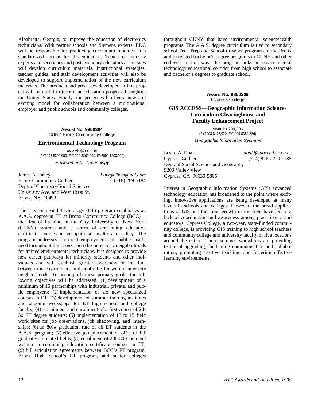Alpahretta, Georgia, to improve the education of electronics technicians. With partner schools and Siemens experts, EDC will be responsible for producing curriculum modules in a standardized format for dissemination. Teams of industry experts and secondary and postsecondary educators at the sites will develop curriculum materials. Instructional strategies, teacher guides, and staff development activities will also be developed to support implementation of the new curriculum materials. The products and processes developed in this project will be useful in technician education projects throughout the United States. Finally, the project will offer a new and exciting model for collaboration between a multinational employer and public schools and community colleges.

> **Award No. 9850304** CUNY Bronx Community College

#### **Environmental Technology Program**

Award: \$700,000 (FY1998 \$300,000; FY1999 \$200,000; FY2000 \$200,000)

Environmental Technology

James A. Fahey *FaheyChem@aol.com* Bronx Community College (718) 289-5184 Dept. of Chemistry/Social Sciences University Ave. and West 181st St. Bronx, NY 10453

The Environmental Technology (ET) program establishes an A.A.S. degree in ET at Bronx Community College (BCC) the first of its kind in the City University of New York (CUNY) system—and a series of continuing education certificate courses in occupational health and safety. The program addresses a critical employment and public health need throughout the Bronx and other inner-city neighborhoods for trained environmental technicians. It is designed to provide new career pathways for minority students and other individuals and will establish greater awareness of the link between the environment and public health within inner-city neighborhoods. To accomplish these primary goals, the following objectives will be addressed: (1) development of a minimum of 15 partnerships with industrial, private, and public employers; (2) implementation of six new specialized courses in ET; (3) development of summer training institutes and ongoing workshops for ET high school and college faculty; (4) recruitment and enrollment of a first cohort of 24- 30 ET degree students; (5) implementation of 13 to 15 field work sites for job observations, job shadowing, and internships; (6) an 80% graduation rate of all ET students in the A.A.S. program; (7) effective job placement of 80% of ET graduates in related fields; (8) enrollment of 200-300 men and women in continuing education certificate courses in ET; (9) full articulation agreements between BCC's ET program, Bronx High School's ET program, and senior colleges

throughout CUNY that have environmental science/health programs. The A.A.S. degree curriculum is tied to secondary school Tech Prep and School-to-Work programs in the Bronx and to related bachelor's degree programs in CUNY and other colleges; in this way, the program links an environmental technology educational corridor from high school to associate and bachelor's degrees to graduate school.

#### **Award No. 9850306** Cypress College

#### **GIS ACCESS—Geographic Information Sciences Curriculum Clearinghouse and Faculty Enhancement Project**

Award: \$799,906 (FY1998 \$417,020; FY1999 \$382,886) Geographic Information Systems

Leslie A. Doak *doakl@nocccd.cc.ca.us* Cypress College (714) 826-2220 x185 Dept. of Social Science and Geography 9200 Valley View Cypress, CA 90630-5805

Interest in Geographic Information Systems (GIS) advanced technology education has broadened to the point where exciting, innovative applications are being developed at many levels in schools and colleges. However, the broad applications of GIS and the rapid growth of the field have led to a lack of coordination and awareness among practitioners and educators. Cypress College, a two-year, state-funded community college, is providing GIS training to high school teachers and community college and university faculty in five locations around the nation. These summer workshops are providing technical upgrading, facilitating communication and collaboration, promoting creative teaching, and fostering effective learning environments.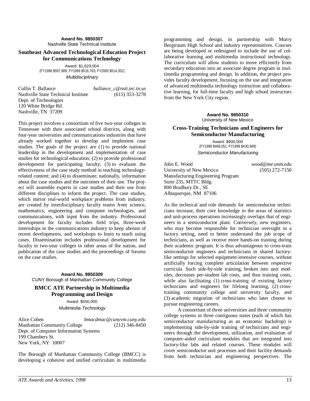**Award No. 9850307** Nashville State Technical Institute

#### **Southeast Advanced Technological Education Project for Communications Technology**

Award: \$1,629,004 (FY1998 \$597,889; FY1999 \$516,763; FY2000 \$514,352) Multidisciplinary

Collin T. Ballance *ballance\_c@nsti.tec.tn.us* Nashville State Technical Institute (615) 353-3278 Dept. of Technologies 120 White Bridge Rd. Nashville, TN 37209

This project involves a consortium of five two-year colleges in Tennessee with their associated school districts, along with four-year universities and communications industries that have already worked together to develop and implement case studies. The goals of the project are (1) to provide national leadership in the development and implementation of case studies for technological education; (2) to provide professional development for participating faculty; (3) to evaluate the effectiveness of the case study method in teaching technologyrelated content; and (4) to disseminate, nationally, information about the case studies and the outcomes of their use. The project will assemble experts in case studies and their use from different disciplines to inform the project. The case studies, which mirror real-world workplace problems from industry, are created by interdisciplinary faculty teams from science, mathematics, engineering and computer technologies, and communications, with input from the industry. Professional development for faculty includes field trips, three-week internships in the communications industry to keep abreast of recent developments, and workshops to learn to teach using cases. Dissemination includes professional development for faculty in two-year colleges in other areas of the nation, and publication of the case studies and the proceedings of forums on the case studies.

> **Award No. 9850309** CUNY Borough of Manhattan Community College

#### **BMCC ATE Partnership in Multimedia Programming and Design**

Award: \$550,000 Multimedia Technology

Alice Cohen *bmacdmac@cunyvm.cuny.edu* Manhattan Community College (212) 346-8450 Dept. of Computer Information Systems 199 Chambers St. New York, NY 10007

The Borough of Manhattan Community College (BMCC) is developing a cohesive and unified curriculum in multimedia

programming and design, in partnership with Murry Bergtraum High School and industry representatives. Courses are being developed or redesigned to include the use of collaborative learning and multimedia instructional technology. The curriculum will allow students to move efficiently from secondary education into an associate degree program in multimedia programming and design. In addition, the project provides faculty development, focusing on the use and integration of advanced multimedia technology instruction and collaborative learning, for full-time faculty and high school instructors from the New York City region.

#### **Award No. 9850310** University of New Mexico

#### **Cross-Training Technicians and Engineers for Semiconductor Manufacturing**

Award: \$900,000 (FY1998 \$469,051; FY1999 \$430,949) Semiconductor Manufacturing

John E. Wood *wood@me.unm.edu* University of New Mexico (505) 272-7150 Manufacturing Engineering Program Suite 235, MTTC Bldg. 800 Bradbury Dr., SE Albuquerque, NM 87106

As the technical and role demands for semiconductor technicians increase, their core knowledge in the areas of statistics and unit-process operations increasingly overlaps that of engineers in a semiconductor plant. Conversely, new engineers, who may become responsible for technician oversight in a factory setting, need to better understand the job scope of technicians, as well as receive more hands-on training during their academic program. It is thus advantageous to cross-train semiconductor engineers and technicians in shared factorylike settings for selected equipment-intensive courses, without artificially forcing complete articulation between respective curricula. Such side-by-side training, broken into unit modules, decreases per-student lab costs, and thus training costs, while also facilitating (1) cross-training of existing factory technicians and engineers for lifelong learning, (2) crosstraining community college and university faculty, and (3) academic migration of technicians who later choose to pursue engineering careers.

A consortium of three universities and three community college systems in three contiguous states (each of which has semiconductor manufacturing as an economic backdrop) is implementing side-by-side training of technicians and engineers through the development, utilization, and evaluation of computer-aided curriculum modules that are integrated into factory-like labs and related courses. These modules will cover semiconductor unit processes and their facility demands from both technician and engineering perspectives. The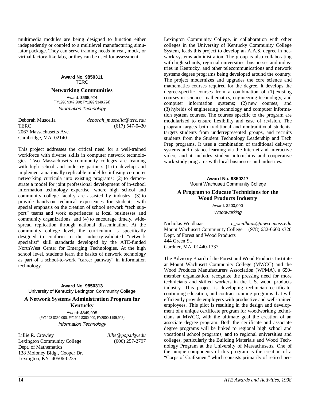multimedia modules are being designed to function either independently or coupled to a multilevel manufacturing simulator package. They can serve training needs in real, mock, or virtual factory-like labs, or they can be used for assessment.

## **Award No. 9850311** TERC

#### **Networking Communities**

Award: \$695,924 (FY1998 \$347,200; FY1999 \$348,724) Information Technology

Deborah Muscella *deborah\_muscella@terc.edu* TERC (617) 547-0430 2067 Massachusetts Ave. Cambridge, MA 02140

This project addresses the critical need for a well-trained workforce with diverse skills in computer network technologies. Two Massachusetts community colleges are teaming with high school and industry partners (1) to develop and implement a nationally replicable model for infusing computer networking curricula into existing programs; (2) to demonstrate a model for joint professional development of in-school information technology expertise, where high school and community college faculty are assisted by industry; (3) to provide hands-on technical experiences for students, with special emphasis on the creation of school network "tech support" teams and work experiences at local businesses and community organizations; and (4) to encourage timely, widespread replication through national dissemination. At the community college level, the curriculum is specifically designed to conform to the industry-validated "network specialist" skill standards developed by the ATE-funded NorthWest Center for Emerging Technologies. At the high school level, students learn the basics of network technology as part of a school-to-work "career pathway" in information technology.

**Award No. 9850313** University of Kentucky Lexington Community College

#### **A Network Systems Administration Program for Kentucky**

Award: \$849,995 (FY1998 \$350,000; FY1999 \$300,000; FY2000 \$199,995) Information Technology

Lillie R. Crowley *lillie@pop.uky.edu* Lexington Community College (606) 257-2797 Dept. of Mathematics 138 Moloney Bldg., Cooper Dr. Lexington, KY 40506-0235

Lexington Community College, in collaboration with other colleges in the University of Kentucky Community College System, leads this project to develop an A.A.S. degree in network systems administration. The group is also collaborating with high schools, regional universities, businesses and industries in Kentucky, and other telecommunications and network systems degree programs being developed around the country. The project modernizes and upgrades the core science and mathematics courses required for the degree. It develops the degree-specific courses from a combination of (1) existing courses in science, mathematics, engineering technology, and computer information systems; (2) new courses; and (3) hybrids of engineering technology and computer information system courses. The courses specific to the program are modularized to ensure flexibility and ease of revision. The program targets both traditional and nontraditional students, targets students from underrepresented groups, and recruits students from the Student Technology Leadership and Tech Prep programs. It uses a combination of traditional delivery systems and distance learning via the Internet and interactive video, and it includes student internships and cooperative work-study programs with local businesses and industries.

> **Award No. 9850317** Mount Wachusett Community College

#### **A Program to Educate Technicians for the Wood Products Industry**

Award: \$200,000 **Woodworking** 

Nicholas Weidhaas *n\_weidhaas@mwcc.mass.edu* Mount Wachusett Community College (978) 632-6600 x320 Dept. of Forest and Wood Products 444 Green St. Gardner, MA 01440-1337

The Advisory Board of the Forest and Wood Products Institute at Mount Wachusett Community College (MWCC) and the Wood Products Manufacturers Association (WPMA), a 650 member organization, recognize the pressing need for more technicians and skilled workers in the U.S. wood products industry. This project is developing technician certificate, continuing education, and contract training programs that will efficiently provide employers with productive and well-trained employees. This pilot is resulting in the design and development of a unique certificate program for woodworking technicians at MWCC, with the ultimate goal the creation of an associate degree program. Both the certificate and associate degree programs will be linked to regional high school and vocational school programs, and to regional universities and colleges, particularly the Building Materials and Wood Technology Program at the University of Massachusetts. One of the unique components of this program is the creation of a "Corps of Craftsmen," which consists primarily of retired per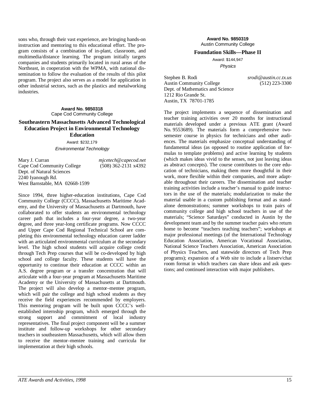sons who, through their vast experience, are bringing hands-on instruction and mentoring to this educational effort. The program consists of a combination of in-plant, classroom, and multimedia/distance learning. The program initially targets companies and students primarily located in rural areas of the Northeast, in cooperation with the WPMA, with national dissemination to follow the evaluation of the results of this pilot program. The project also serves as a model for application in other industrial sectors, such as the plastics and metalworking industries.

#### **Award No. 9850318** Cape Cod Community College

#### **Southeastern Massachusetts Advanced Technological Education Project in Environmental Technology Education**

Award: \$232,179 Environmental Technology

Mary J. Curran *mjcetech@capecod.net* Cape Cod Community College (508) 362-2131 x4392 Dept. of Natural Sciences 2240 Iyanough Rd. West Barnstable, MA 02668-1599

Since 1994, three higher-education institutions, Cape Cod Community College (CCCC), Massachusetts Maritime Academy, and the University of Massachusetts at Dartmouth, have collaborated to offer students an environmental technology career path that includes a four-year degree, a two-year degree, and three year-long certificate programs. Now CCCC and Upper Cape Cod Regional Technical School are completing this environmental technology education career ladder with an articulated environmental curriculum at the secondary level. The high school students will acquire college credit through Tech Prep courses that will be co-developed by high school and college faculty. These students will have the opportunity to continue their education at CCCC within an A.S. degree program or a transfer concentration that will articulate with a four-year program at Massachusetts Maritime Academy or the University of Massachusetts at Dartmouth. The project will also develop a mentor–mentee program, which will pair the college and high school students as they receive the field experiences recommended by employers. This mentoring program will be built upon CCCC's wellestablished internship program, which emerged through the strong support and commitment of local industry representatives. The final project component will be a summer institute and follow-up workshops for other secondary teachers in southeastern Massachusetts, which will allow them to receive the mentor–mentee training and curricula for implementation at their high schools.

**Award No. 9850319** Austin Community College

#### **Foundation Skills—Phase II**

Award: \$144,947 Physics

Stephen B. Rodi *srodi@austin.cc.tx.us* Austin Community College (512) 223-3300 Dept. of Mathematics and Science 1212 Rio Grande St. Austin, TX 78701-1785

The project implements a sequence of dissemination and teacher training activities over 20 months for instructional materials developed under a previous ATE grant (Award No. 9553689). The materials form a comprehensive twosemester course in physics for technicians and other audiences. The materials emphasize conceptual understanding of fundamental ideas (as opposed to routine application of formulas to template problems) and active learning by students (which makes ideas vivid to the senses, not just leaving ideas as abstract concepts). The course contributes to the core education of technicians, making them more thoughtful in their work, more flexible within their companies, and more adaptable throughout their careers. The dissemination and teacher training activities include a teacher's manual to guide instructors in the use of the materials; modularization to make the material usable in a custom publishing format and as standalone demonstrations; summer workshops to train pairs of community college and high school teachers in use of the materials; "Science Saturdays" conducted in Austin by the development team and by the summer teacher pairs who return home to become "teachers teaching teachers"; workshops at major professional meetings (of the International Technology Education Association, American Vocational Association, National Science Teachers Association, American Association of Physics Teachers, and statewide directors of Tech Prep programs); expansion of a Web site to include a listserv/chat room format in which teachers can share ideas and ask questions; and continued interaction with major publishers.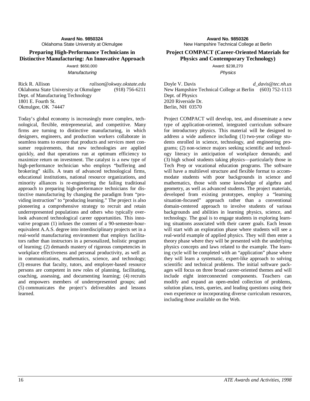#### **Preparing High-Performance Technicians in Distinctive Manufacturing: An Innovative Approach**

Award: \$650,000 **Manufacturing** 

Rick R. Allison *ralison@okway.okstate.edu* Oklahoma State University at Okmulgee (918) 756-6211 Dept. of Manufacturing Technology 1801 E. Fourth St. Okmulgee, OK 74447

Today's global economy is increasingly more complex, technological, flexible, entrepreneurial, and competitive. Many firms are turning to distinctive manufacturing, in which designers, engineers, and production workers collaborate in seamless teams to ensure that products and services meet consumer requirements, that new technologies are applied quickly, and that operations run at optimum efficiency to maximize return on investment. The catalyst is a new type of high-performance technician who employs "buffering and brokering" skills. A team of advanced technological firms, educational institutions, national resource organizations, and minority alliances is re-engineering the failing traditional approach to preparing high-performance technicians for distinctive manufacturing by changing the paradigm from "providing instruction" to "producing learning." The project is also pioneering a comprehensive strategy to recruit and retain underrepresented populations and others who typically overlook advanced technological career opportunities. This innovative program (1) infuses the content of a 90-semester-hourequivalent A.A.S. degree into interdisciplinary projects set in a real-world manufacturing environment that employs facilitators rather than instructors in a personalized, holistic program of learning; (2) demands mastery of rigorous competencies in workplace effectiveness and personal productivity, as well as in communications, mathematics, science, and technology; (3) ensures that faculty, tutors, and employer-based resource persons are competent in new roles of planning, facilitating, coaching, assessing, and documenting learning; (4) recruits and empowers members of underrepresented groups; and (5) communicates the project's deliverables and lessons learned.

#### **Project COMPACT (Career-Oriented Materials for Physics and Contemporary Technology)**

Award: \$238,270 Physics

Doyle V. Davis *d\_davis@tec.nh.us* New Hampshire Technical College at Berlin (603) 752-1113 Dept. of Physics 2020 Riverside Dr. Berlin, NH 03570

Project COMPACT will develop, test, and disseminate a new type of application-oriented, integrated curriculum software for introductory physics. This material will be designed to address a wide audience including (1) two-year college students enrolled in science, technology, and engineering programs; (2) non-science majors seeking scientific and technology literacy in anticipation of workplace demands; and (3) high school students taking physics—particularly those in Tech Prep or vocational education programs. The software will have a multilevel structure and flexible format to accommodate students with poor backgrounds in science and mathematics, those with some knowledge of algebra and geometry, as well as advanced students. The project materials, developed from existing prototypes, employ a "learning situation-focused" approach rather than a conventional domain-centered approach to involve students of various backgrounds and abilities in learning physics, science, and technology. The goal is to engage students in exploring learning situations associated with their career goals. Each lesson will start with an exploration phase where students will see a real-world example of applied physics. They will then enter a theory phase where they will be presented with the underlying physics concepts and laws related to the example. The learning cycle will be completed with an "application" phase where they will learn a systematic, expert-like approach to solving scientific and technical problems. The initial software packages will focus on three broad career-oriented themes and will include eight interconnected components. Teachers can modify and expand an open-ended collection of problems, solution plans, tests, queries, and leading questions using their own experience or incorporating diverse curriculum resources, including those available on the Web.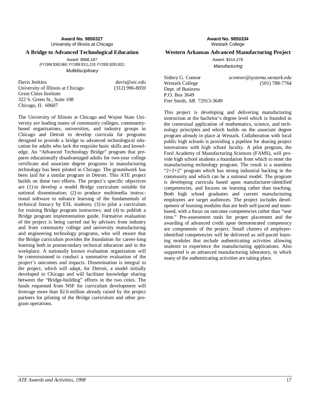**Award No. 9850327** University of Illinois at Chicago

#### **A Bridge to Advanced Technological Education**

Award: \$968,187 (FY1998 \$363,966; FY1999 \$311,219; FY2000 \$293,002) **Multidisciplinary** 

Davis Jenkins *davis@uic.edu* University of Illinois at Chicago (312) 996-8059 Great Cities Institute 322 S. Green St., Suite 108 Chicago, IL 60607

The University of Illinois at Chicago and Wayne State University are leading teams of community colleges, communitybased organizations, universities, and industry groups in Chicago and Detroit to develop curricula for programs designed to provide a bridge to advanced technological education for adults who lack the requisite basic skills and knowledge. An "Advanced Technology Bridge" program that prepares educationally disadvantaged adults for two-year college certificate and associate degree programs in manufacturing technology has been piloted in Chicago. The groundwork has been laid for a similar program in Detroit. This ATE project builds on these two efforts. The project's specific objectives are (1) to develop a model Bridge curriculum suitable for national dissemination; (2) to produce multimedia instructional software to enhance learning of the fundamentals of technical literacy by ESL students; (3) to pilot a curriculum for training Bridge program instructors; and (4) to publish a Bridge program implementation guide. Formative evaluation of the project is being carried out by advisors from industry and from community college and university manufacturing and engineering technology programs, who will ensure that the Bridge curriculum provides the foundation for career-long learning both in postsecondary technical education and in the workplace. A nationally known evaluation organization will be commissioned to conduct a summative evaluation of the project's outcomes and impacts. Dissemination is integral to the project, which will adapt, for Detroit, a model initially developed in Chicago and will facilitate knowledge sharing between the "Bridge-building" efforts in the two cities. The funds requested from NSF for curriculum development will leverage more than \$2.6 million already raised by the project partners for piloting of the Bridge curriculum and other program operations.

**Award No. 9850334** Westark College

#### **Western Arkansas Advanced Manufacturing Project**

Award: \$314,278 **Manufacturing** 

Dept. of Business P.O. Box 3649 Fort Smith, AR 72913-3649

Sidney G. Connor *sconnor@systema.westark.edu* Westark College (501) 788-7764

This project is developing and delivering manufacturing instruction at the bachelor's degree level which is founded in the contextual application of mathematics, science, and technology principles and which builds on the associate degree program already in place at Westark. Collaboration with local public high schools is providing a pipeline for sharing project innovations with high school faculty. A pilot program, the Ford Academy of Manufacturing Sciences (FAMS), will provide high school students a foundation from which to enter the manufacturing technology program. The result is a seamless " $2+2+2$ " program which has strong industrial backing in the community and which can be a national model. The program is developing curricula based upon manufacturer-identified competencies, and focuses on learning rather than teaching. Both high school graduates and current manufacturing employees are target audiences. The project includes development of learning modules that are both self-paced and teambased, with a focus on outcome competencies rather than "seat time." Pre-assessment tools for proper placement and the awarding of advanced credit upon demonstrated competency are components of the project. Small clusters of employeridentified competencies will be delivered as self-paced learning modules that include authenticating activities allowing students to experience the manufacturing applications. Also supported is an advanced manufacturing laboratory, in which many of the authenticating activities are taking place.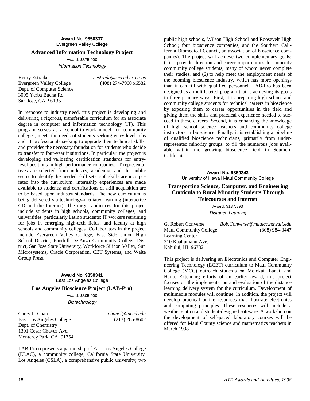#### **Award No. 9850337** Evergreen Valley College

#### **Advanced Information Technology Project**

Award: \$375,000 Information Technology

Henry Estrada *hestrada@sjeccd.cc.ca.us*<br>Evergreen Valley College (408) 274-7900 x6582 Evergreen Valley College Dept. of Computer Science 3095 Yerba Buena Rd. San Jose, CA 95135

In response to industry need, this project is developing and delivering a rigorous, transferable curriculum for an associate degree in computer and information technology (IT). This program serves as a school-to-work model for community colleges, meets the needs of students seeking entry-level jobs and IT professionals seeking to upgrade their technical skills, and provides the necessary foundation for students who decide to transfer to four-year institutions. In particular, the project is developing and validating certification standards for entrylevel positions in high-performance companies. IT representatives are selected from industry, academia, and the public sector to identify the needed skill sets; soft skills are incorporated into the curriculum; internship experiences are made available to students; and certifications of skill acquisition are to be based upon industry standards. The new curriculum is being delivered via technology-mediated learning (interactive CD and the Internet). The target audiences for this project include students in high schools, community colleges, and universities, particularly Latino students; IT workers retraining for jobs in emerging high-tech fields; and faculty at high schools and community colleges. Collaborators in the project include Evergreen Valley College, East Side Union High School District, Foothill–De Anza Community College District, San Jose State University, Workforce Silicon Valley, Sun Microsystems, Oracle Corporation, CBT Systems, and Waite Group Press.

#### **Award No. 9850341** East Los Angeles College

#### **Los Angeles Bioscience Project (LAB-Pro)**

Award: \$305,000 **Biotechnology** 

Carcy L. Chan *chancl@laccd.edu* East Los Angeles College (213) 265-8602 Dept. of Chemistry 1301 Cesar Chavez Ave. Monterey Park, CA 91754

LAB-Pro represents a partnership of East Los Angeles College (ELAC), a community college; California State University, Los Angeles (CSLA), a comprehensive public university; two

public high schools, Wilson High School and Roosevelt High School; four bioscience companies; and the Southern California Biomedical Council, an association of bioscience companies). The project will achieve two complementary goals: (1) to provide direction and career opportunities for minority community college students, many of whom never complete their studies, and (2) to help meet the employment needs of the booming bioscience industry, which has more openings than it can fill with qualified personnel. LAB-Pro has been designed as a multifaceted program that is achieving its goals in three primary ways. First, it is preparing high school and community college students for technical careers in bioscience by exposing them to career opportunities in the field and giving them the skills and practical experience needed to succeed in those careers. Second, it is enhancing the knowledge of high school science teachers and community college instructors in bioscience. Finally, it is establishing a pipeline of qualified bioscience technicians, primarily from underrepresented minority groups, to fill the numerous jobs available within the growing bioscience field in Southern California.

> **Award No. 9850343** University of Hawaii Maui Community College

#### **Transporting Science, Computer, and Engineering Curricula to Rural Minority Students Through Telecourses and Internet**

Award: \$137,893 Distance Learning

G. Robert Converse *Bob.Converse@mauicc.hawaii.edu* Maui Community College (808) 984-3447 Learning Center 310 Kaahumanu Ave. Kahului, HI 96732

This project is delivering an Electronics and Computer Engineering Technology (ECET) curriculum to Maui Community College (MCC) outreach students on Molokai, Lanai, and Hana. Extending efforts of an earlier award, this project focuses on the implementation and evaluation of the distance learning delivery system for the curriculum. Development of multimedia modules will continue. In addition, the project will develop practical online resources that illustrate electronics and computing principles. These resources will include a weather station and student-designed software. A workshop on the development of self-paced laboratory courses will be offered for Maui County science and mathematics teachers in March 1998.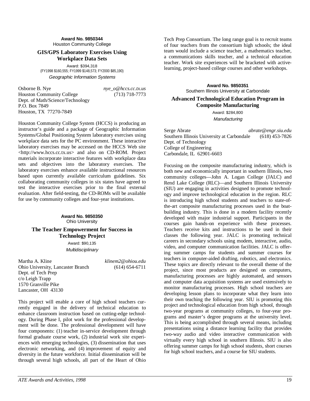#### This project will enable a core of high school teachers currently engaged in the delivery of technical education to

Dept. of Tech Prep c/o Leigh Trapp 1570 Granville Pike Lancaster, OH 43130

enhance classroom instruction based on cutting-edge technology. During Phase I, pilot work for the professional development will be done. The professional development will have four components: (1) teacher in-service development through formal graduate course work, (2) industrial work site experiences with emerging technologies, (3) dissemination that uses electronic networking, and (4) improvement of equity and diversity in the future workforce. Initial dissemination will be through several high schools, all part of the Heart of Ohio

*ATE Awards and Activities, 1998* 19

#### **Award No. 9850344** Houston Community College

#### **GIS/GPS Laboratory Exercises Using Workplace Data Sets**

Award: \$394,318 (FY1998 \$160,555; FY1999 \$148,573; FY2000 \$85,190) Geographic Information Systems

Houston Community College System (HCCS) is producing an instructor's guide and a package of Geographic Information Systems/Global Positioning System laboratory exercises using workplace data sets for the PC environment. These interactive laboratory exercises may be accessed on the HCCS Web site <http://www.hccs.cc.tx.us> and also on CD-ROM. Project materials incorporate interactive features with workplace data sets and objectives into the laboratory exercises. The laboratory exercises enhance available instructional resources based upon currently available curriculum guidelines. Six collaborating community colleges in six states have agreed to test the interactive exercises prior to the final external evaluation. After field-testing, the CD-ROMs will be available for use by community colleges and four-year institutions.

> **Award No. 9850350** Ohio University **The Teacher Empowerment for Success in Technology Project** Award: \$90,135 **Multidisciplinary**

Martha A. Kline *klinem2@ohiou.edu* Ohio University, Lancaster Branch (614) 654-6711

Osborne B. Nye *nye\_o@hccs.cc.tx.us* Houston Community College (713) 718-7773 Dept. of Math/Science/Technology P.O. Box 7849 Houston, TX 77270-7849

Tech Prep Consortium. The long range goal is to recruit teams of four teachers from the consortium high schools; the ideal team would include a science teacher, a mathematics teacher, a communications skills teacher, and a technical education teacher. Work site experiences will be bracketed with activelearning, project-based college courses and other workshops.

> **Award No. 9850351** Southern Illinois University at Carbondale

#### **Advanced Technological Education Program in Composite Manufacturing**

Award: \$284,800 **Manufacturing** 

Serge Abrate *abrate@engr.siu.edu* Southern Illinois University at Carbondale (618) 453-7826 Dept. of Technology College of Engineering Carbondale, IL 62901-6603

Focusing on the composite manufacturing industry, which is both new and economically important in southern Illinois, two community colleges—John A. Logan College (JALC) and Rend Lake College (RLC)—and Southern Illinois University (SIU) are engaging in activities designed to promote technology and improve technological education in the region. RLC is introducing high school students and teachers to state-ofthe-art composite manufacturing processes used in the boatbuilding industry. This is done in a modern facility recently developed with major industrial support. Participants in the courses gain hands-on experience with these processes. Teachers receive kits and instructions to be used in their classes the following year. JALC is promoting technical careers in secondary schools using modem, interactive, audio, video, and computer communication facilities. JALC is offering summer camps for students and summer courses for teachers in computer-aided drafting, robotics, and electronics. These topics are directly relevant to the overall theme of the project, since most products are designed on computers, manufacturing processes are highly automated, and sensors and computer data acquisition systems are used extensively to monitor manufacturing processes. High school teachers are developing lesson plans to incorporate what they learn into their own teaching the following year. SIU is promoting this project and technological education from high school, through two-year programs at community colleges, to four-year programs and master's degree programs at the university level. This is being accomplished through several means, including presentations using a distance learning facility that provides two-way audio and video interactive communication with virtually every high school in southern Illinois. SIU is also offering summer camps for high school students, short courses for high school teachers, and a course for SIU students.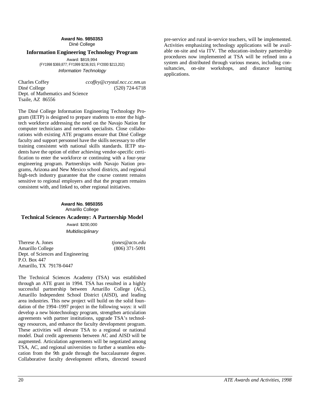**Award No. 9850353** Diné College

#### **Information Engineering Technology Program**

Award: \$819,994 (FY1998 \$369,877; FY1999 \$236,915; FY2000 \$213,202) Information Technology

Charles Coffey *ccoffey@crystal.ncc.cc.nm.us* Diné College (520) 724-6718 Dept. of Mathematics and Science Tsaile, AZ 86556

The Diné College Information Engineering Technology Program (IETP) is designed to prepare students to enter the hightech workforce addressing the need on the Navajo Nation for computer technicians and network specialists. Close collaborations with existing ATE programs ensure that Diné College faculty and support personnel have the skills necessary to offer training consistent with national skills standards. IETP students have the option of either achieving vendor-specific certification to enter the workforce or continuing with a four-year engineering program. Partnerships with Navajo Nation programs, Arizona and New Mexico school districts, and regional high-tech industry guarantee that the course content remains sensitive to regional employers and that the program remains consistent with, and linked to, other regional initiatives.

#### **Award No. 9850355** Amarillo College

#### **Technical Sciences Academy: A Partnership Model**

Award: \$200,000 **Multidisciplinary** 

Therese A. Jones *tjones@actx.edu* Amarillo College (806) 371-5091 Dept. of Sciences and Engineering P.O. Box 447 Amarillo, TX 79178-0447

The Technical Sciences Academy (TSA) was established through an ATE grant in 1994. TSA has resulted in a highly successful partnership between Amarillo College (AC), Amarillo Independent School District (AISD), and leading area industries. This new project will build on the solid foundation of the 1994–1997 project in the following ways: it will develop a new biotechnology program, strengthen articulation agreements with partner institutions, upgrade TSA's technology resources, and enhance the faculty development program. These activities will elevate TSA to a regional or national model. Dual credit agreements between AC and AISD will be augmented. Articulation agreements will be negotiated among TSA, AC, and regional universities to further a seamless education from the 9th grade through the baccalaureate degree. Collaborative faculty development efforts, directed toward

pre-service and rural in-service teachers, will be implemented. Activities emphasizing technology applications will be available on-site and via ITV. The education–industry partnership procedures now implemented at TSA will be refined into a system and distributed through various means, including consultancies, on-site workshops, and distance learning applications.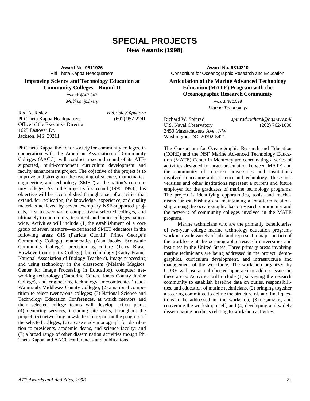# **SPECIAL PROJECTS New Awards (1998)**

**Award No. 9811926** Phi Theta Kappa Headquarters

#### **Improving Science and Technology Education at Community Colleges—Round II**

Award: \$307,847 Multidisciplinary

Rod A. Risley *rod.risley@ptk.org* Phi Theta Kappa Headquarters (601) 957-2241 Office of the Executive Director 1625 Eastover Dr. Jackson, MS 39211

Phi Theta Kappa, the honor society for community colleges, in cooperation with the American Association of Community Colleges (AACC), will conduct a second round of its ATEsupported, multi-component curriculum development and faculty enhancement project. The objective of the project is to improve and strengthen the teaching of science, mathematics, engineering, and technology (SMET) at the nation's community colleges. As in the project's first round (1996–1998), this objective will be accomplished through a set of activities that extend, for replication, the knowledge, experience, and quality materials achieved by seven exemplary NSF-supported projects, first to twenty-one competitively selected colleges, and ultimately to community, technical, and junior colleges nationwide. Activities will include (1) the establishment of a core group of seven mentors—experienced SMET educators in the following areas: GIS (Patricia Cunniff, Prince George's Community College), mathematics (Alan Jacobs, Scottsdale Community College), precision agriculture (Terry Brase, Hawkeye Community College), biotechnology (Kathy Frame, National Association of Biology Teachers), image processing and using technology in the classroom (Melanie Magisos, Center for Image Processing in Education), computer networking technology (Catherine Cotten, Jones County Junior College), and engineering technology "mecomtronics" (Jack Waintraub, Middlesex County College); (2) a national competition to select twenty-one colleges; (3) National Science and Technology Education Conferences, at which mentors and their selected college teams will develop action plans; (4) mentoring services, including site visits, throughout the project; (5) networking newsletters to report on the progress of the selected colleges; (6) a case study monograph for distribution to presidents, academic deans, and science faculty; and (7) a broad range of other dissemination activities though Phi Theta Kappa and AACC conferences and publications.

**Award No. 9814210** Consortium for Oceanographic Research and Education

#### **Articulation of the Marine Advanced Technology Education (MATE) Program with the Oceanographic Research Community**

Award: \$70,598 Marine Technology

Richard W. Spinrad *spinrad.richard@hq.navy.mil* U.S. Naval Observatory 3450 Massachusetts Ave., NW Washington, DC 20392-5421

The Consortium for Oceanographic Research and Education (CORE) and the NSF Marine Advanced Technology Education (MATE) Center in Monterey are coordinating a series of activities designed to target articulation between MATE and the community of research universities and institutions involved in oceanographic science and technology. These universities and other institutions represent a current and future employer for the graduates of marine technology programs. The project is identifying opportunities, tools, and mechanisms for establishing and maintaining a long-term relationship among the oceanographic basic research community and the network of community colleges involved in the MATE program.

Marine technicians who are the primarily beneficiaries of two-year college marine technology education programs work in a wide variety of jobs and represent a major portion of the workforce at the oceanographic research universities and institutes in the United States. Three primary areas involving marine technicians are being addressed in the project: demographics, curriculum development, and infrastructure and management of the workforce. The workshop organized by CORE will use a multifaceted approach to address issues in these areas. Activities will include (1) surveying the research community to establish baseline data on duties, responsibilities, and education of marine technicians, (2) bringing together a steering committee to define the structure of, and final questions to be addressed in, the workshop, (3) organizing and convening the workshop itself, and (4) developing and widely disseminating products relating to workshop activities.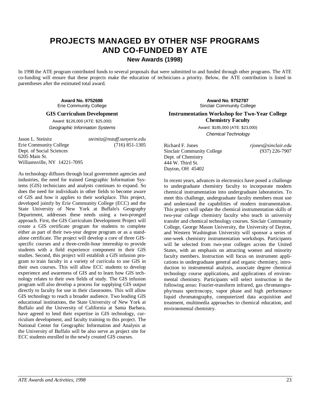# **PROJECTS MANAGED BY OTHER NSF PROGRAMS AND CO-FUNDED BY ATE**

**New Awards (1998)**

In 1998 the ATE program contributed funds to several proposals that were submitted to and funded through other programs. The ATE co-funding will ensure that these projects make the education of technicians a priority. Below, the ATE contribution is listed in parentheses after the estimated total award.

> **Award No. 9752688** Erie Community College

#### **GIS Curriculum Development**

Award: \$126,000 (ATE: \$25,000) Geographic Information Systems

Jason L. Steinitz *steinitz@nstaff.sunyerie.edu* Erie Community College Dept. of Social Sciences 6205 Main St. Williamsville, NY 14221-7095

As technology diffuses through local government agencies and industries, the need for trained Geographic Information Systems (GIS) technicians and analysts continues to expand. So does the need for individuals in other fields to become aware of GIS and how it applies to their workplace. This project, developed jointly by Erie Community College (ECC) and the State University of New York at Buffalo's Geography Department, addresses these needs using a two-pronged approach. First, the GIS Curriculum Development Project will create a GIS certificate program for students to complete either as part of their two-year degree program or as a standalone certificate. The project will develop a core of three GISspecific courses and a three-credit-hour internship to provide students with a field experience component in their GIS studies. Second, this project will establish a GIS infusion program to train faculty in a variety of curricula to use GIS in their own courses. This will allow ECC students to develop experience and awareness of GIS and to learn how GIS technology relates to their own fields of study. The GIS infusion program will also develop a process for supplying GIS output directly to faculty for use in their classrooms. This will allow GIS technology to reach a broader audience. Two leading GIS educational institutions, the State University of New York at Buffalo and the University of California at Santa Barbara, have agreed to lend their expertise in GIS technology, curriculum development, and faculty training to this project. The National Center for Geographic Information and Analysis at the University of Buffalo will be also serve as project site for ECC students enrolled in the newly created GIS courses.

**Award No. 9752787** Sinclair Community College

**Instrumentation Workshop for Two-Year College Chemistry Faculty**

> Award: \$185,000 (ATE: \$23,000) Chemical Technology

Richard F. Jones *rjones@sinclair.edu* Sinclair Community College (937) 226-7907 Dept. of Chemistry 444 W. Third St. Dayton, OH 45402

In recent years, advances in electronics have posed a challenge to undergraduate chemistry faculty to incorporate modern chemical instrumentation into undergraduate laboratories. To meet this challenge, undergraduate faculty members must use and understand the capabilities of modern instrumentation. This project will update the chemical instrumentation skills of two-year college chemistry faculty who teach in university transfer and chemical technology courses. Sinclair Community College, George Mason University, the University of Dayton, and Western Washington University will sponsor a series of one-week chemistry instrumentation workshops. Participants will be selected from two-year colleges across the United States, with an emphasis on attracting women and minority faculty members. Instruction will focus on instrument applications in undergraduate general and organic chemistry, introduction to instrumental analysis, associate degree chemical technology course applications, and applications of environmental chemistry. Participants will select instruction in the following areas: Fourier-transform infrared, gas chromatography/mass spectroscopy, vapor phase and high performance liquid chromatography, computerized data acquisition and treatment, multimedia approaches to chemical education, and environmental chemistry.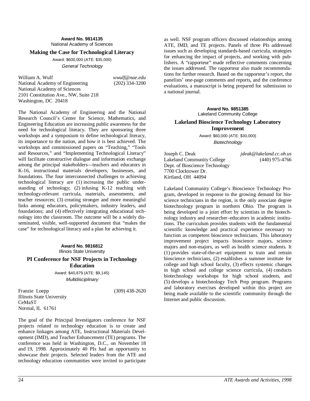#### **Making the Case for Technological Literacy**

Award: \$600,000 (ATE: \$35,000) General Technology

William A. Wulf *wwulf@nae.edu* National Academy of Engineering (202) 334-3200 National Academy of Sciences 2101 Constitution Ave., NW, Suite 218 Washington, DC 20418

The National Academy of Engineering and the National Research Council's Center for Science, Mathematics, and Engineering Education are increasing public awareness for the need for technological literacy. They are sponsoring three workshops and a symposium to define technological literacy, its importance to the nation, and how it is best achieved. The workshops and commissioned papers on "Teaching," "Tools and Resources," and "Implementing Technological Literacy" will facilitate constructive dialogue and information exchange among the principal stakeholders—teachers and educators in K-16, instructional materials developers, businesses, and foundations. The four interconnected challenges to achieving technological literacy are (1) increasing the public understanding of technology; (2) infusing K-12 teaching with technology-relevant curricula, materials, assessments, and teacher resources; (3) creating stronger and more meaningful links among educators, policymakers, industry leaders, and foundations; and (4) effectively integrating educational technology into the classroom. The outcome will be a widely disseminated, visible, well-supported document that "makes the case" for technological literacy and a plan for achieving it.

#### **Award No. 9816812** Illinois State University

**PI Conference for NSF Projects in Technology Education**

> Award: \$40,879 (ATE: \$9,145) Multidisciplinary

Franzie Loepp (309) 438-2620 Illinois State University CeMaST Normal, IL 61761

The goal of the Principal Investigators conference for NSF projects related to technology education is to create and enhance linkages among ATE, Instructional Materials Development (IMD), and Teacher Enhancement (TE) programs. The conference was held in Washington, D.C., on November 18 and 19, 1998. Approximately 40 PIs had an opportunity to showcase their projects. Selected leaders from the ATE and technology education communities were invited to participate

as well. NSF program officers discussed relationships among ATE, IMD, and TE projects. Panels of three PIs addressed issues such as developing standards-based curricula, strategies for enhancing the impact of projects, and working with publishers. A "rapporteur" made reflective comments concerning the issues addressed. The rapporteur also made recommendations for further research. Based on the rapporteur's report, the panelists' one-page comments and reports, and the conference evaluations, a manuscript is being prepared for submission to a national journal.

> **Award No. 9851385** Lakeland Community College

#### **Lakeland Bioscience Technology Laboratory Improvement**

Award: \$60,000 (ATE: \$30,000) Biotechnology

Joseph C. Deak *jdeak@lakeland.cc.oh.us* Lakeland Community College (440) 975-4766 Dept. of Bioscience Technology 7700 Clocktower Dr. Kirtland, OH 44094

Lakeland Community College's Bioscience Technology Program, developed in response to the growing demand for bioscience technicians in the region, is the only associate degree biotechnology program in northern Ohio. The program is being developed in a joint effort by scientists in the biotechnology industry and researcher–educators in academic institutions. The curriculum provides students with the fundamental scientific knowledge and practical experience necessary to function as competent bioscience technicians. This laboratory improvement project impacts bioscience majors, science majors and non-majors, as well as health science students. It (1) provides state-of-the-art equipment to train and retrain bioscience technicians, (2) establishes a summer institute for college and high school faculty, (3) effects systemic changes in high school and college science curricula, (4) conducts biotechnology workshops for high school students, and (5) develops a biotechnology Tech Prep program. Programs and laboratory exercises developed within this project are being made available to the scientific community through the Internet and public discussion.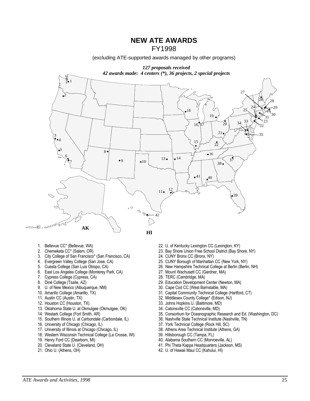**NEW ATE AWARDS**

FY1998

(excluding ATE-supported awards managed by other programs)



- 
- 
- 3. City College of San Francisco<sup>\*</sup> (San Francisco, CA)<br>4. Evergreen Valley College (San Jose, CA)
- 
- 
- 6. East Los Angeles College (Monterey Park, CA) 27. Mount Wachusett CC (C<br>7. Cypress College (Cypress, CA) 28. TERC (Cambridge, MA)
- 7. Cypress College (Cypress, CA)<br>8. Diné College (Tsaile, AZ)
- 
- 9. U. of New Mexico (Albuquerque, NM)<br>10. Amarillo College (Amarillo, TX)
- 
- 
- 
- 13. Oklahoma State U. at Okmulgee (Okmulgee, OK)
- 
- 15. Southern Illinois U. at Carbondale (Carbondale, IL)<br>16. University of Chicago (Chicago, IL)
- 
- 
- 17. University of Illinois at Chicago (Chicago, IL) 38. Athens Area Technical Institute 18. Western Wisconsin Technical College (La Crosse, WI) 39. Hillsborough CC (Tampa, FL) 18. Western Wisconsin Technical College (La Crosse, WI)<br>19. Henry Ford CC (Dearborn, MI)
- 
- 
- 
- 
- 1. Bellevue CC\* (Bellevue, WA) <br>2. Chemeketa CC\* (Salem, OR) 23. Bay Shore Union Free School District (Bay Shore Union Free School District (Bay Shore Union Free School District (Bay Shore Union Free School District (Bay S 23. Bay Shore Union Free School District (Bay Shore, NY) 24. CUNY Bronx CC (Bronx, NY)
	-
	-
- 4. Evergreen Valley College (San Jose, CA) 25. CUNY Borough of Manhattan CC (New York, NY)<br>5. Cuesta College (San Luis Obispo, CA) 26. New Hampshire Technical College at Berlin (Berlin 26. New Hampshire Technical College at Berlin (Berlin, NH)<br>27. Mount Wachusett CC (Gardner, MA)
	-
	-
	- 29. Education Development Center (Newton, MA) 30. Cape Cod CC (West Barnstable, MA)
	-
	- 31. Capital Community Technical College (Hartford, CT)
- 11. Austin CC (Austin, TX) <br>12. Houston CC (Houston, TX) <br>12. Houston CC (Houston, TX) <br>33. Johns Hopkins U. (Baltimore, MD)
	- 33. Johns Hopkins U. (Baltimore, MD)<br>34. Catonsville CC (Catonsville, MD)
	-
- 14. Westark College (Fort Smith, AR) 35. Consortium for Oceanographic Research and Ed. (Washington, DC) 36. Nashville State Technical Institute (Nashville, TN)
	-
	- 16. York Technical College (Rock Hill, SC)<br>16. Athens Area Technical Institute (Athens, GA)
	-
	-
- 19. Henry Ford CC (Dearborn, MI)  $\sim$  40. Alabama Southern CC (Monroeville, AL) 40. Alabama Southern CC (Monroeville, AL)
- 20. Cleveland State U. (Cleveland, OH) 41. Phi Theta Kappa Headquarters (Jackson, MS)<br>21. Ohio U. (Athens, OH) 42. U. of Hawaii Maui CC (Kahului, HI)
	- 42. U. of Hawaii Maui CC (Kahului, HI)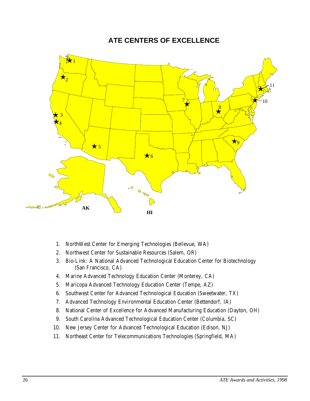# **ATE CENTERS OF EXCELLENCE**



- 1. NorthWest Center for Emerging Technologies (Bellevue, WA)
- 2. Northwest Center for Sustainable Resources (Salem, OR)
- 3. Bio-Link: A National Advanced Technological Education Center for Biotechnology (San Francisco, CA)
- 4. Marine Advanced Technology Education Center (Monterey, CA)
- 5. Maricopa Advanced Technology Education Center (Tempe, AZ)
- 6. Southwest Center for Advanced Technological Education (Sweetwater, TX)
- 7. Advanced Technology Environmental Education Center (Bettendorf, IA)
- 8. National Center of Excellence for Advanced Manufacturing Education (Dayton, OH)
- 9. South Carolina Advanced Technological Education Center (Columbia, SC)
- 10. New Jersey Center for Advanced Technological Education (Edison, NJ)
- 11. Northeast Center for Telecommunications Technologies (Springfield, MA)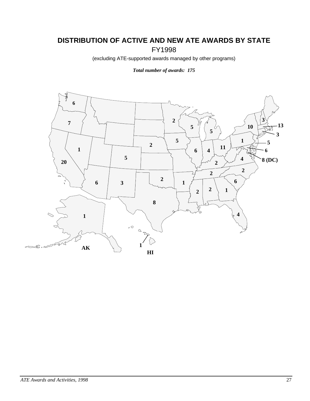# **DISTRIBUTION OF ACTIVE AND NEW ATE AWARDS BY STATE** FY1998

(excluding ATE-supported awards managed by other programs)

*Total number of awards: 175*

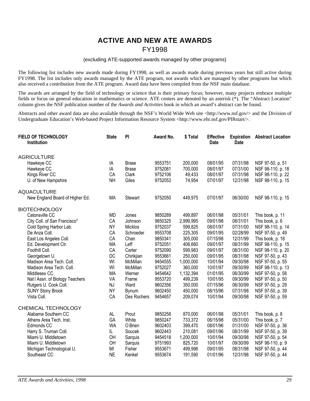# **ACTIVE AND NEW ATE AWARDS** FY1998

#### (excluding ATE-supported awards managed by other programs)

The following list includes new awards made during FY1998, as well as awards made during previous years but still active during FY1998. The list includes only awards managed by the ATE program, not awards which are managed by other programs but which also received a contribution from the ATE program. Award data have been compiled from the NSF main database.

The awards are arranged by the field of technology or science that is their primary focus; however, many projects embrace multiple fields or focus on general education in mathematics or science. ATE centers are denoted by an asterisk (\*). The "Abstract Location" column gives the NSF publication number of the *Awards and Activities* book in which an award's abstract can be found.

Abstracts and other award data are also available through the NSF's World Wide Web site <http://www.nsf.gov/> and the Division of Undergraduate Education's Web-based Project Information Resource System <http://www.ehr.nsf.gov/PIRstart/>.

| FIELD OF TECHNOLOGY<br><b>Institution</b> | <b>State</b> | PI             | Award No. | \$ Total  | <b>Effective</b><br><b>Date</b> | <b>Expiration</b><br>Date | <b>Abstract Location</b> |
|-------------------------------------------|--------------|----------------|-----------|-----------|---------------------------------|---------------------------|--------------------------|
| <b>AGRICULTURE</b>                        |              |                |           |           |                                 |                           |                          |
| Hawkeye CC                                | IA           | <b>Brase</b>   | 9553751   | 200,000   | 08/01/95                        | 07/31/98                  | NSF 97-50, p. 51         |
| Hawkeye CC                                | IA           | <b>Brase</b>   | 9752081   | 700,000   | 08/01/97                        | 07/31/00                  | NSF 98-110, p. 18        |
| Kings River CC                            | CA           | Clark          | 9752106   | 49,433    | 08/01/97                        | 07/31/98                  | NSF 98-110, p. 22        |
| U. of New Hampshire                       | <b>NH</b>    | Giles          | 9752053   | 74,954    | 07/01/97                        | 12/31/98                  | NSF 98-110, p. 15        |
| <b>AQUACULTURE</b>                        |              |                |           |           |                                 |                           |                          |
| New England Board of Higher Ed.           | <b>MA</b>    | <b>Stewart</b> | 9752050   | 449,975   | 07/01/97                        | 06/30/00                  | NSF 98-110, p. 15        |
| <b>BIOTECHNOLOGY</b>                      |              |                |           |           |                                 |                           |                          |
| Catonsville CC                            | <b>MD</b>    | Jones          | 9850289   | 499,897   | 06/01/98                        | 05/31/01                  | This book, p. 11         |
| City Coll. of San Francisco*              | CA           | Johnson        | 9850325   | 2,999,995 | 09/01/98                        | 08/31/01                  | This book, p. 6          |
| Cold Spring Harbor Lab.                   | <b>NY</b>    | Micklos        | 9752037   | 599,825   | 08/01/97                        | 07/31/00                  | NSF 98-110, p. 14        |
| De Anza Coll.                             | CA           | Schroeder      | 9553708   | 225,305   | 09/01/95                        | 02/28/99                  | NSF 97-50, p. 49         |
| East Los Angeles Coll.                    | CA           | Chan           | 9850341   | 305,000   | 07/15/98                        | 12/31/99                  | This book, p. 18         |
| Ed. Development Ctr.                      | <b>MA</b>    | Leff           | 9752051   | 406,660   | 09/01/97                        | 08/31/99                  | NSF 98-110, p. 15        |
| Foothill Coll.                            | CA           | Carter         | 9752090   | 599,983   | 09/01/97                        | 08/31/00                  | NSF 98-110, p. 20        |
| Georgetown U.                             | <b>DC</b>    | Chirikjian     | 9553661   | 250,000   | 09/01/95                        | 08/31/98                  | NSF 97-50, p. 43         |
| Madison Area Tech. Coll.                  | WI           | McMillan       | 9454555   | 1,000,000 | 10/01/94                        | 09/30/98                  | NSF 97-50, p. 55         |
| Madison Area Tech. Coll.                  | WI           | McMillan       | 9752027   | 360,000   | 10/01/97                        | 09/30/99                  | NSF 98-110, p. 13        |
| Middlesex CC                              | <b>MA</b>    | Werner         | 9454642   | 1,132,394 | 01/01/95                        | 06/30/99                  | NSF 97-50, p. 58         |
| Nat I Assn. of Biology Teachers           | VA           | Frame          | 9553720   | 499,239   | 10/01/95                        | 09/30/99                  | NSF 97-50, p. 50         |
| Rutgers U. Cook Coll.                     | NJ           | Ward           | 9602356   | 350,000   | 07/15/96                        | 06/30/99                  | NSF 97-50, p. 29         |
| <b>SUNY Stony Brook</b>                   | <b>NY</b>    | <b>Bynum</b>   | 9602450   | 450,000   | 08/15/96                        | 07/31/98                  | NSF 97-50, p. 39         |
| Vista Coll.                               | CA           | Des Rochers    | 9454657   | 209,074   | 10/01/94                        | 09/30/98                  | NSF 97-50, p. 59         |
| CHEMICAL TECHNOLOGY                       |              |                |           |           |                                 |                           |                          |
| Alabama Southern CC                       | AL.          | Prout          | 9850258   | 870,000   | 06/01/98                        | 05/31/01                  | This book, p. 8          |
| Athens Area Tech. Inst.                   | GA           | White          | 9850247   | 733,372   | 06/15/98                        | 05/31/00                  | This book, p. 7          |
| Edmonds CC                                | <b>WA</b>    | O Brien        | 9602403   | 399,470   | 08/01/96                        | 01/31/00                  | NSF 97-50, p. 36         |
| Harry S. Truman Coll.                     | IL.          | Soucek         | 9602443   | 210,081   | 09/01/96                        | 08/31/99                  | NSF 97-50, p. 39         |
| Miami U. Middletown                       | OH           | Sarquis        | 9454518   | 1,200,000 | 10/01/94                        | 09/30/98                  | NSF 97-50, p. 54         |
| Miami U. Middletown                       | OH           | Sarquis        | 9751993   | 825,720   | 10/01/97                        | 09/30/99                  | NSF 98-110, p. 9         |
| Michigan Technological U.                 | MI           | Fisher         | 9553671   | 499,996   | 09/01/95                        | 08/31/98                  | NSF 97-50, p. 44         |
| Southeast CC                              | <b>NE</b>    | Kenkel         | 9553674   | 191,590   | 01/01/96                        | 12/31/98                  | NSF 97-50, p. 44         |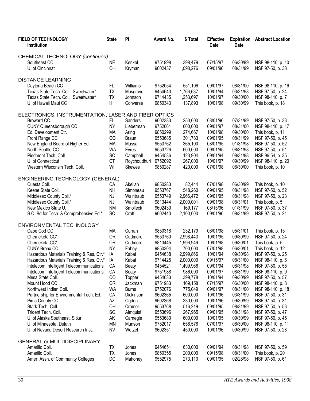| FIELD OF TECHNOLOGY<br><b>Institution</b>                | <b>State</b> | PI              | Award No.          | \$Total            | <b>Effective</b><br><b>Date</b> | <b>Expiration</b><br><b>Date</b> | <b>Abstract Location</b>             |
|----------------------------------------------------------|--------------|-----------------|--------------------|--------------------|---------------------------------|----------------------------------|--------------------------------------|
| CHEMICAL TECHNOLOGY (continued)                          |              |                 |                    |                    |                                 |                                  |                                      |
| Southeast CC                                             | NE           | Kenkel          | 9751998            | 398,479            | 07/15/97                        | 06/30/99                         | NSF 98-110, p. 10                    |
| U. of Cincinnati                                         | OH           | Kryman          | 9602437            | 1,098,276          | 09/01/96                        | 08/31/99                         | NSF 97-50, p. 38                     |
| <b>DISTANCE LEARNING</b>                                 |              |                 |                    |                    |                                 |                                  |                                      |
| Daytona Beach CC                                         | FL           | Williams        | 9752054            | 551,106            | 09/01/97                        | 08/31/00                         | NSF 98-110, p. 16                    |
| Texas State Tech. Coll., Sweetwater*                     | <b>TX</b>    | Musgrove        | 9454643            | 1,766,637          | 10/01/94                        | 03/31/98                         | NSF 97-50, p. 24                     |
| Texas State Tech. Coll., Sweetwater*                     | <b>TX</b>    | Johnson         | 9714435            | 1,253,697          | 10/01/97                        | 09/30/00                         | NSF 98-110, p. 7                     |
| U. of Hawaii Maui CC                                     | HI           | Converse        | 9850343            | 137,893            | 10/01/98                        | 09/30/99                         | This book, p. 18                     |
| ELECTRONICS, INSTRUMENTATION, LASER AND FIBER OPTICS     |              |                 |                    |                    |                                 |                                  |                                      |
| <b>Broward CC</b>                                        | FL.          | Sanders         | 9602383            | 250,000            | 08/01/96                        | 07/31/99                         | NSF 97-50, p. 33                     |
| <b>CUNY Queensborough CC</b>                             | <b>NY</b>    | Lieberman       | 9752061            | 600,000            | 09/01/97                        | 08/31/00                         | NSF 98-110, p. 17                    |
| Ed. Development Ctr.                                     | MA           | Aring           | 9850299            | 274,667            | 10/01/98                        | 09/30/00                         | This book, p. 11                     |
| Front Range CC                                           | CO           | <b>Braun</b>    | 9553685            | 301,783            | 09/01/95                        | 08/31/99                         | NSF 97-50, p. 45                     |
| New England Board of Higher Ed.                          | MA           | Massa           | 9553762            | 365,100            | 08/01/95                        | 01/31/98                         | NSF 97-50, p. 52                     |
| North Seattle CC                                         | <b>WA</b>    | Eyres           | 9553726            | 600,000            | 09/01/95                        | 08/31/98                         | NSF 97-50, p. 51                     |
| Piedmont Tech. Coll.                                     | SC           | Campbell        | 9454536            | 123,904            | 09/01/94                        | 08/31/98                         | NSF 96-54, p. 35                     |
| U. of Connecticut                                        | <b>CT</b>    | Roychoudhuri    | 9752092            | 267,000            | 10/01/97                        | 09/30/99                         | NSF 98-110, p. 20                    |
| Western Wisconsin Tech. Coll.                            | WI           | <b>Skewes</b>   | 9850287            | 420,000            | 07/01/98                        | 06/30/00                         | This book, p. 10                     |
| ENGINEERING TECHNOLOGY (GENERAL)                         |              |                 |                    |                    |                                 |                                  |                                      |
| Cuesta Coll.                                             | СA           | Akelian         | 9850283            | 82,444             | 07/01/98                        | 06/30/99                         | This book, p. 10                     |
| Keene State Coll.                                        | <b>NH</b>    | Simoneau        | 9553767            | 548,260            | 09/01/95                        | 08/31/98                         | NSF 97-50, p. 52                     |
| Middlesex County Coll.*                                  | NJ           | Waintraub       | 9553749            | 2,966,472          | 09/01/95                        | 08/31/98                         | NSF 97-50, p. 23                     |
| Middlesex County Coll.*                                  | NJ           | Waintraub       | 9813444            | 2,000,001          | 09/01/98                        | 08/31/01                         | This book, p. 5                      |
| New Mexico State U.                                      | <b>NM</b>    | Smolleck        | 9602430            | 169,177            | 08/15/96                        | 01/31/99                         | NSF 97-50, p. 37                     |
| S.C. Bd for Tech. & Comprehensive Ed.*                   | SC           | Craft           | 9602440            | 2,100,000          | 09/01/96                        | 08/31/99                         | NSF 97-50, p. 21                     |
| ENVIRONMENTAL TECHNOLOGY                                 |              |                 |                    |                    |                                 |                                  |                                      |
| Cape Cod CC                                              | MA           | Curran          | 9850318            | 232,179            | 06/01/98                        | 05/31/01                         | This book, p. 15                     |
| Chemeketa CC*                                            | <b>OR</b>    | Cudmore         | 9553760            | 2,998,443          | 10/01/95                        | 09/30/99                         | NSF 97-50, p. 24                     |
| Chemeketa CC*                                            | <b>OR</b>    | Cudmore         | 9813445            | 1,996,949          | 10/01/98                        | 09/30/01                         | This book, p. 5                      |
| <b>CUNY Bronx CC</b>                                     | <b>NY</b>    | Fahey           | 9850304            | 700,000            | 07/01/98                        | 06/30/01                         | This book, p. 12                     |
| Hazardous Materials Training & Res. Ctr.*                | IA           | Kabat           | 9454638            | 2,999,866          | 10/01/94                        | 09/30/98                         | NSF 97-50, p. 25                     |
| Hazardous Materials Training & Res. Ctr.*                | IA           | Kabat           | 9714425            | 2,000,000          | 09/15/97                        | 08/31/00                         | NSF 98-110, p. 6                     |
| Intelecom Intelligent Telecommunications                 | CA           | <b>Beaty</b>    | 9454521            | 1,499,966          | 09/01/94                        | 08/31/98                         | NSF 97-50, p. 55                     |
| Intelecom Intelligent Telecommunications                 | CA           | <b>Beaty</b>    | 9751988            | 986,000            | 09/01/97                        | 08/31/99                         | NSF 98-110, p. 9                     |
| Mesa State Coll.<br>Mount Hood CC                        | CO           | Topper          | 9454633            | 399,778            | 10/01/94                        | 09/30/99                         | NSF 97-50, p. 57                     |
|                                                          | <b>OR</b>    | Jackman         | 9751983            | 169,158            | 07/15/97                        | 06/30/00                         | NSF 98-110, p. 8                     |
| Northwest Indian Coll.                                   | <b>WA</b>    | <b>Burns</b>    | 9752076            | 775,049            | 09/01/97                        | 08/31/00<br>03/31/99             | NSF 98-110, p. 18                    |
| Partnership for Environmental Tech. Ed.                  | CA           | Dickinson       | 9602365            | 600,000            | 10/01/96                        |                                  | NSF 97-50, p. 31                     |
| Pima County CC<br>Stark Tech. Coll.                      | AZ<br>OH     | Ogden<br>Cramer | 9602368            | 330,000            | 10/01/96<br>09/01/95            | 09/30/99<br>08/31/99             | NSF 97-50, p. 31                     |
| Trident Tech. Coll.                                      | SC           | Almquist        | 9553768<br>9553696 | 516,219            | 09/01/95                        | 08/31/98                         | NSF 97-50, p. 53<br>NSF 97-50, p. 47 |
|                                                          | AK           | Carnegie        | 9553680            | 267,965<br>600,000 | 10/01/95                        | 09/30/99                         | NSF 97-50, p. 45                     |
| U. of Alaska Southeast, Sitka<br>U. of Minnesota, Duluth | <b>MN</b>    | Munson          | 9752017            | 656,576            | 07/01/97                        | 06/30/00                         | NSF 98-110, p. 11                    |
| U. of Nevada Desert Research Inst.                       | <b>NV</b>    | Wetzel          | 9602351            | 450,000            | 10/01/96                        | 09/30/99                         | NSF 97-50, p. 28                     |
|                                                          |              |                 |                    |                    |                                 |                                  |                                      |
| <b>GENERAL or MULTIDISCIPLINARY</b><br>Amarillo Coll.    | ТX           | Jones           | 9454651            | 630,000            | 09/01/94                        | 08/31/98                         | NSF 97-50, p. 59                     |
| Amarillo Coll.                                           | <b>TX</b>    | Jones           | 9850355            | 200,000            | 09/15/98                        | 08/31/00                         | This book, p. 20                     |
| Amer. Assn. of Community Colleges                        | DC           | Mahoney         | 9552975            | 273,110            | 09/01/95                        | 02/28/98                         | NSF 97-50, p. 61                     |
|                                                          |              |                 |                    |                    |                                 |                                  |                                      |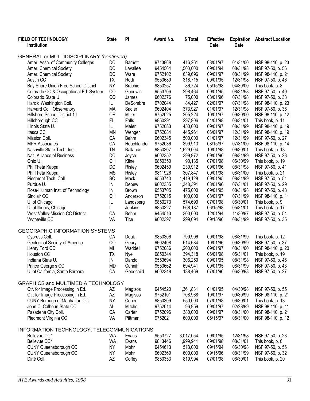| FIELD OF TECHNOLOGY<br>Institution         | <b>State</b> | PI             | Award No. | \$Total   | <b>Effective</b><br><b>Date</b> | <b>Expiration</b><br><b>Date</b> | <b>Abstract Location</b> |
|--------------------------------------------|--------------|----------------|-----------|-----------|---------------------------------|----------------------------------|--------------------------|
| GENERAL or MULTIDISCIPLINARY (continued)   |              |                |           |           |                                 |                                  |                          |
| Amer. Assn. of Community Colleges          | DC           | <b>Barnett</b> | 9713868   | 416,261   | 08/01/97                        | 01/31/00                         | NSF 98-110, p. 23        |
| Amer. Chemical Society                     | DC           | Lavallee       | 9454564   | 1,500,000 | 09/01/94                        | 08/31/98                         | NSF 97-50, p. 56         |
| Amer. Chemical Society                     | DC           | Ware           | 9752102   | 639,696   | 09/01/97                        | 08/31/99                         | NSF 98-110, p. 21        |
| Austin CC                                  | <b>TX</b>    | Rodi           | 9553689   | 318,715   | 09/01/95                        | 12/31/98                         | NSF 97-50, p. 46         |
| Bay Shore Union Free School District       | <b>NY</b>    | <b>Brachio</b> | 9850257   | 86,724    | 05/15/98                        | 04/30/00                         | This book, p. 8          |
| Colorado CC & Occupational Ed. System      | CO           | Goodwin        | 9553706   | 298,464   | 09/01/95                        | 08/31/98                         | NSF 97-50, p. 49         |
| Colorado State U.                          | CO           | James          | 9602376   | 75,000    | 08/01/96                        | 07/31/98                         | NSF 97-50, p. 33         |
| Harold Washington Coll.                    | IL.          | DeSombre       | 9702044   | 84,427    | 02/01/97                        | 07/31/98                         | NSF 98-110, p. 23        |
| Harvard Coll. Observatory                  | <b>MA</b>    | Sadler         | 9602404   | 373,927   | 01/01/97                        | 12/31/98                         | NSF 97-50, p. 36         |
| Hillsboro School District 1J               | <b>OR</b>    | Miller         | 9752025   | 205,224   | 10/01/97                        | 09/30/00                         | NSF 98-110, p. 12        |
|                                            | FL.          | Falls          | 9850291   | 297,906   | 04/01/98                        | 03/31/01                         |                          |
| Hillsborough CC<br>Illinois State U.       | IL.          | Meier          | 9752083   |           | 09/01/97                        | 08/31/99                         | This book, p. 11         |
|                                            | <b>MN</b>    |                |           | 450,000   |                                 |                                  | NSF 98-110, p. 19        |
| Itasca CC                                  |              | Wenger         | 9752084   | 445,961   | 06/01/97<br>01/01/97            | 12/31/99                         | NSF 98-110, p. 19        |
| Mission Coll.                              | CA           | <b>Behm</b>    | 9602345   | 500,000   |                                 | 12/31/99                         | NSF 97-50, p. 27         |
| <b>MPR Associates</b>                      | CA           | Hoachlander    | 9752036   | 399,913   | 08/15/97                        | 07/31/00                         | NSF 98-110, p. 14        |
| Nashville State Tech. Inst.                | TN           | Ballance       | 9850307   | 1,629,004 | 10/01/98                        | 09/30/01                         | This book, p. 13         |
| Nat   Alliance of Business                 | DC           | Joyce          | 9602352   | 399,972   | 09/01/96                        | 08/31/99                         | NSF 97-50, p. 28         |
| Ohio U.                                    | OH           | Kline          | 9850350   | 90,135    | 07/01/98                        | 06/30/99                         | This book, p. 19         |
| Phi Theta Kappa                            | DC           | Risley         | 9602459   | 239,912   | 09/01/96                        | 08/31/98                         | NSF 97-50, p. 41         |
| Phi Theta Kappa                            | <b>MS</b>    | Risley         | 9811926   | 307,847   | 09/01/98                        | 08/31/00                         | This book, p. 21         |
| Piedmont Tech. Coll.                       | SC           | Mack           | 9553740   | 1,419,128 | 09/01/95                        | 08/31/99                         | NSF 97-50, p. 51         |
| Purdue U.                                  | IN           | Depew          | 9602355   | 1,348,391 | 08/01/96                        | 07/31/01                         | NSF 97-50, p. 29         |
| Rose-Hulman Inst. of Technology            | IN           | <b>Brown</b>   | 9553705   | 475,000   | 09/01/95                        | 08/31/98                         | NSF 97-50, p. 48         |
| Sinclair CC                                | OH           | Anderson       | 9752015   | 100,000   | 08/01/97                        | 07/31/99                         | NSF 98-110, p. 11        |
| U. of Chicago                              | IL.          | Landsberg      | 9850273   | 574,699   | 07/01/98                        | 06/30/01                         | This book, p. 9          |
| U. of Illinois, Chicago                    | IL.          | Jenkins        | 9850327   | 968,187   | 06/15/98                        | 05/31/01                         | This book, p. 17         |
| West Valley-Mission CC District            | CA           | Behm           | 9454513   | 300,000   | 12/01/94                        | 11/30/97                         | NSF 97-50, p. 54         |
| Wytheville CC                              | VA           | Tice           | 9602397   | 299,694   | 09/15/96                        | 08/31/99                         | NSF 97-50, p. 35         |
| <b>GEOGRAPHIC INFORMATION SYSTEMS</b>      |              |                |           |           |                                 |                                  |                          |
| Cypress Coll.                              | СA           | Doak           | 9850306   | 799,906   | 09/01/98                        | 08/31/99                         | This book, p. 12         |
| Geological Society of America              | CO           | Geary          | 9602408   | 614,684   | 10/01/96                        | 09/30/99                         | NSF 97-50, p. 37         |
| Henry Ford CC                              | MI           | Waddell        | 9752086   | 1,200,000 | 09/01/97                        | 08/31/00                         | NSF 98-110, p. 20        |
| Houston CC                                 | TΧ           | Nye            | 9850344   | 394,318   | 06/01/98                        | 05/31/01                         | This book, p. 19         |
| Indiana State U.                           | IN           | Dando          | 9553694   | 306,250   | 09/01/95                        | 08/31/98                         | NSF 97-50, p. 46         |
| Prince George s CC                         | <b>MD</b>    | Cunniff        | 9553662   | 694,941   | 09/01/95                        | 08/31/99                         | NSF 97-50, p. 43         |
| U. of California, Santa Barbara            | CA           | Goodchild      | 9602348   | 188,469   | 07/01/96                        | 06/30/98                         | NSF 97-50, p. 27         |
| GRAPHICS and MULTIMEDIA TECHNOLOGY         |              |                |           |           |                                 |                                  |                          |
| Ctr. for Image Processing in Ed.           | AZ           | Magisos        | 9454520   | 1,361,831 | 01/01/95                        | 04/30/98                         | NSF 97-50, p. 55         |
| Ctr. for Image Processing in Ed.           | AZ           | Magisos        | 9752101   | 708,968   | 10/01/97                        | 09/30/99                         | NSF 98-110, p. 21        |
| CUNY Borough of Manhattan CC               | <b>NY</b>    | Cohen          | 9850309   | 550,000   | 07/01/98                        | 06/30/01                         | This book, p. 13         |
| John C. Calhoun State CC                   | AL           | Mitchell       | 9752014   | 96,959    | 09/01/97                        | 02/28/99                         | NSF 98-110, p. 11        |
| Pasadena City Coll.                        | CA           | Carter         | 9752096   | 380,000   | 09/01/97                        | 08/31/00                         | NSF 98-110, p. 21        |
| Piedmont Virginia CC                       | VA           | Pittman        | 9752021   | 600,000   | 06/15/97                        | 05/31/00                         | NSF 98-110, p. 12        |
|                                            |              |                |           |           |                                 |                                  |                          |
| INFORMATION TECHNOLOGY, TELECOMMUNICATIONS |              |                |           |           |                                 |                                  |                          |
| Bellevue CC*                               | WA           | Evans          | 9553727   | 3,017,054 | 09/01/95                        | 12/31/98                         | NSF 97-50, p. 23         |
| Bellevue CC*                               | <b>WA</b>    | Evans          | 9813446   | 1,999,941 | 09/01/98                        | 08/31/01                         | This book, p. 6          |
| <b>CUNY Queensborough CC</b>               | <b>NY</b>    | Mohr           | 9454613   | 513,000   | 09/15/94                        | 06/30/98                         | NSF 97-50, p. 56         |
| <b>CUNY Queensborough CC</b>               | <b>NY</b>    | Mohr           | 9602369   | 600,000   | 09/15/96                        | 08/31/99                         | NSF 97-50, p. 32         |
| Diné Coll.                                 | AZ           | Coffey         | 9850353   | 819,994   | 07/01/98                        | 06/30/01                         | This book, p. 20         |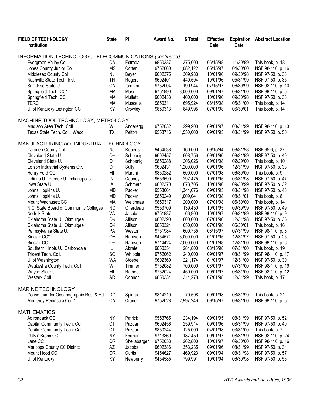| FIELD OF TECHNOLOGY<br>Institution                     | <b>State</b>    | PI           | Award No.          | \$Total   | <b>Effective</b><br><b>Date</b> | <b>Expiration</b><br><b>Date</b> | <b>Abstract Location</b> |
|--------------------------------------------------------|-----------------|--------------|--------------------|-----------|---------------------------------|----------------------------------|--------------------------|
| INFORMATION TECHNOLOGY, TELECOMMUNICATIONS (continued) |                 |              |                    |           |                                 |                                  |                          |
| Evergreen Valley Coll.                                 | CA              | Estrada      | 9850337            | 375,000   | 06/15/98                        | 11/30/99                         | This book, p. 18         |
| Jones County Junior Coll.                              | <b>MS</b>       | Cotten       | 9752060            | 1,082,122 | 05/15/97                        | 04/30/00                         | NSF 98-110, p. 16        |
| Middlesex County Coll.                                 | NJ              | Beyer        | 9602375            | 309,983   | 10/01/96                        | 09/30/98                         | NSF 97-50, p. 33         |
| Nashville State Tech. Inst.                            | <b>TN</b>       | Rogers       | 9602401            | 449,594   | 10/01/96                        | 05/31/99                         | NSF 97-50, p. 35         |
| San Jose State U.                                      | CA              | Ibrahim      | 9752004            | 199,944   | 07/15/97                        | 06/30/99                         | NSF 98-110, p. 10        |
|                                                        |                 |              |                    |           |                                 | 08/31/00                         |                          |
| Springfield Tech. CC*                                  | MA              | Masi         | 9751990            | 3,000,000 | 09/01/97                        |                                  | NSF 98-110, p. 5         |
| Springfield Tech. CC                                   | MA              | Mullett      | 9602433            | 400,000   | 10/01/96                        | 09/30/98                         | NSF 97-50, p. 38         |
| <b>TERC</b><br>U. of Kentucky Lexington CC             | <b>MA</b><br>KY | Muscella     | 9850311<br>9850313 | 695,924   | 06/15/98<br>07/01/98            | 05/31/00<br>06/30/01             | This book, p. 14         |
|                                                        |                 | Crowley      |                    | 849,995   |                                 |                                  | This book, p. 14         |
| MACHINE TOOL TECHNOLOGY, METROLOGY                     |                 |              |                    |           |                                 |                                  |                          |
| Madison Area Tech. Coll.                               | WI              | Anderegg     | 9752032            | 299,900   | 09/01/97                        | 08/31/99                         | NSF 98-110, p. 13        |
| Texas State Tech. Coll., Waco                          | <b>ΤΧ</b>       | Pelton       | 9553716            | 1,550,000 | 09/01/95                        | 08/31/99                         | NSF 97-50, p. 50         |
| MANUFACTURING and INDUSTRIAL TECHNOLOGY                |                 |              |                    |           |                                 |                                  |                          |
| Camden County Coll.                                    | NJ              | Roberts      | 9454538            | 160,000   | 09/15/94                        | 08/31/98                         | NSF 95-6, p. 27          |
| Cleveland State U.                                     | OH              | Schoenig     | 9602457            | 608,756   | 09/01/96                        | 08/31/99                         | NSF 97-50, p. 40         |
| Cleveland State U.                                     | OH              | Schoenig     | 9850288            | 206,026   | 09/01/98                        | 02/29/00                         | This book, p. 10         |
| Edison Industrial Systems Ctr.                         | OH              | Sully        | 9602431            | 1,200,000 | 09/01/96                        | 12/31/99                         | NSF 97-50, p. 38         |
| Henry Ford CC                                          | MI              | Martini      | 9850282            | 500,000   | 07/01/98                        | 06/30/00                         | This book, p. 9          |
| Indiana U. Purdue U. Indianapolis                      | IN              | Cooney       | 9553699            | 297,475   | 10/01/95                        | 03/31/98                         | NSF 97-50, p. 47         |
| lowa State U.                                          | IA              | Schmerr      | 9602370            | 673,705   | 10/01/96                        | 09/30/99                         | NSF 97-50, p. 32         |
| Johns Hopkins U.                                       | <b>MD</b>       | Packer       | 9553664            | 1,344,676 | 09/01/95                        | 08/31/98                         | NSF 97-50, p. 43         |
| Johns Hopkins U.                                       | <b>MD</b>       | Packer       | 9850249            | 1,009,041 | 09/01/98                        | 08/31/01                         | This book, p. 8          |
| Mount Wachusett CC                                     | <b>MA</b>       | Weidhaas     | 9850317            | 200,000   | 07/01/98                        | 06/30/00                         | This book, p. 14         |
| N.C. State Board of Community Colleges                 | <b>NC</b>       | Girardeau    | 9553709            | 139,450   | 10/01/95                        | 09/30/99                         | NSF 97-50, p. 49         |
| Norfolk State U.                                       | VA              | Jacobs       | 9751987            | 66,900    | 10/01/97                        | 03/31/99                         | NSF 98-110, p. 9         |
| Oklahoma State U., Okmulgee                            | OK              | Allison      | 9602390            | 600,000   | 07/01/96                        | 12/31/98                         | NSF 97-50, p. 35         |
| Oklahoma State U., Okmulgee                            | OK              | Allison      | 9850324            | 650,000   | 07/01/98                        | 06/30/01                         | This book, p. 16         |
| Pennsylvania State U.                                  | PA              | Weston       | 9751984            | 600,735   | 08/15/97                        | 07/31/99                         | NSF 98-110, p. 8         |
| Sinclair CC*                                           | OH              | Harrison     | 9454571            | 3,000,000 | 01/01/95                        | 12/31/97                         | NSF 97-50, p. 25         |
| Sinclair CC*                                           | OH              | Harrison     | 9714424            | 2,000,000 | 01/01/98                        | 12/31/00                         | NSF 98-110, p. 6         |
| Southern Illinois U., Carbondale                       | IL              | Abrate       | 9850351            | 284,800   | 08/15/98                        | 07/31/00                         | This book, p. 19         |
| Trident Tech. Coll.                                    | SC              | Whipple      | 9752062            | 240,000   | 09/01/97                        | 08/31/99                         | NSF 98-110, p. 17        |
| U. of Washington                                       | <b>WA</b>       | Stoebe       | 9602360            | 221,174   | 01/01/97                        | 12/31/00                         | NSF 97-50, p. 30         |
| Waukesha County Tech. Coll.                            | WI              | Timmer       | 9752082            | 700,000   | 08/01/97                        | 07/31/00                         | NSF 98-110, p. 19        |
| Wayne State U.                                         | MI              | Rathod       | 9752024            | 450,000   | 09/01/97                        | 08/31/00                         | NSF 98-110, p. 12        |
| Westark Coll.                                          | <b>AR</b>       | Connor       | 9850334            | 314,278   | 07/01/98                        | 12/31/99                         | This book, p. 17         |
| <b>MARINE TECHNOLOGY</b>                               |                 |              |                    |           |                                 |                                  |                          |
|                                                        |                 |              |                    |           |                                 |                                  |                          |
| Consortium for Oceanographic Res. & Ed.                | DC              | Spinrad      | 9814210            | 70,598    | 09/01/98                        | 08/31/99                         | This book, p. 21         |
| Monterey Peninsula Coll.*                              | CA              | Crane        | 9752028            | 2,997,246 | 09/15/97                        | 08/31/00                         | NSF 98-110, p. 5         |
| <b>MATHEMATICS</b>                                     |                 |              |                    |           |                                 |                                  |                          |
| Adirondack CC                                          | <b>NY</b>       | Patrick      | 9553765            | 234,194   | 09/01/95                        | 08/31/99                         | NSF 97-50, p. 52         |
| Capital Community Tech. Coll.                          | <b>CT</b>       | Pazdar       | 9602456            | 259,914   | 09/01/96                        | 08/31/99                         | NSF 97-50, p. 40         |
| Capital Community Tech. Coll.                          | <b>CT</b>       | Pazdar       | 9850244            | 125,000   | 04/01/98                        | 03/31/00                         | This book, p. 7          |
| <b>CUNY Bronx CC</b>                                   | <b>NY</b>       | Forman       | 9713869            | 187,459   | 09/01/97                        | 08/31/99                         | NSF 98-110, p. 24        |
| Lane CC                                                | <b>OR</b>       | Shellabarger | 9752058            | 262,800   | 10/01/97                        | 09/30/00                         | NSF 98-110, p. 16        |
| Maricopa County CC District                            | AΖ              | Jacobs       | 9602386            | 353,235   | 09/01/96                        | 08/31/99                         | NSF 97-50, p. 34         |
| Mount Hood CC                                          | <b>OR</b>       | Curtis       | 9454627            | 469,923   | 09/01/94                        | 08/31/98                         | NSF 97-50, p. 57         |
| U. of Kentucky                                         | KY              | Newberry     | 9454585            | 799,991   | 10/01/94                        | 06/30/98                         | NSF 97-50, p. 56         |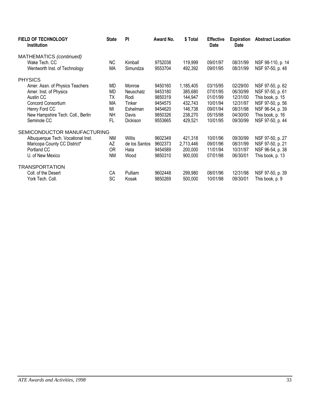| <b>FIELD OF TECHNOLOGY</b><br><b>Institution</b> | <b>State</b> | <b>PI</b>     | Award No. | \$ Total  | <b>Effective</b><br>Date | <b>Expiration</b><br><b>Date</b> | <b>Abstract Location</b> |
|--------------------------------------------------|--------------|---------------|-----------|-----------|--------------------------|----------------------------------|--------------------------|
| MATHEMATICS (continued)                          |              |               |           |           |                          |                                  |                          |
| Wake Tech, CC                                    | <b>NC</b>    | Kimball       | 9752038   | 119,999   | 09/01/97                 | 08/31/99                         | NSF 98-110, p. 14        |
| Wentworth Inst. of Technology                    | MA           | Simundza      | 9553704   | 492,392   | 09/01/95                 | 08/31/99                         | NSF 97-50, p. 48         |
| <b>PHYSICS</b>                                   |              |               |           |           |                          |                                  |                          |
| Amer. Assn. of Physics Teachers                  | MD           | Monroe        | 9450160   | 1,185,405 | 03/15/95                 | 02/29/00                         | NSF 97-50, p. 62         |
| Amer. Inst. of Physics                           | MD           | Neuschatz     | 9453180   | 385,680   | 07/01/95                 | 06/30/99                         | NSF 97-50, p. 61         |
| Austin CC                                        | TX           | Rodi          | 9850319   | 144,947   | 01/01/99                 | 12/31/00                         | This book, p. 15         |
| Concord Consortium                               | МA           | Tinker        | 9454575   | 432,743   | 10/01/94                 | 12/31/97                         | NSF 97-50, p. 56         |
| Henry Ford CC                                    | MI           | Eshelman      | 9454620   | 146,738   | 09/01/94                 | 08/31/98                         | NSF 96-54, p. 39         |
| New Hampshire Tech. Coll., Berlin                | NΗ           | Davis         | 9850326   | 238,270   | 05/15/98                 | 04/30/00                         | This book, p. 16         |
| Seminole CC                                      | <b>FL</b>    | Dickison      | 9553665   | 429,521   | 10/01/95                 | 09/30/99                         | NSF 97-50, p. 44         |
| SEMICONDUCTOR MANUFACTURING                      |              |               |           |           |                          |                                  |                          |
| Albuquerque Tech. Vocational Inst.               | NM           | Willis        | 9602349   | 421,318   | 10/01/96                 | 09/30/99                         | NSF 97-50, p. 27         |
| Maricopa County CC District*                     | AΖ           | de los Santos | 9602373   | 2,713,446 | 09/01/96                 | 08/31/99                         | NSF 97-50, p. 21         |
| Portland CC                                      | 0R           | Hata          | 9454589   | 200,000   | 11/01/94                 | 10/31/97                         | NSF 96-54, p. 38         |
| U. of New Mexico                                 | <b>NM</b>    | Wood          | 9850310   | 900,000   | 07/01/98                 | 06/30/01                         | This book, p. 13         |
| <b>TRANSPORTATION</b>                            |              |               |           |           |                          |                                  |                          |
| Coll. of the Desert                              | CA           | Pulliam       | 9602448   | 299,980   | 08/01/96                 | 12/31/98                         | NSF 97-50, p. 39         |
| York Tech. Coll.                                 | SC           | Kosak         | 9850269   | 500,000   | 10/01/98                 | 09/30/01                         | This book, p. 9          |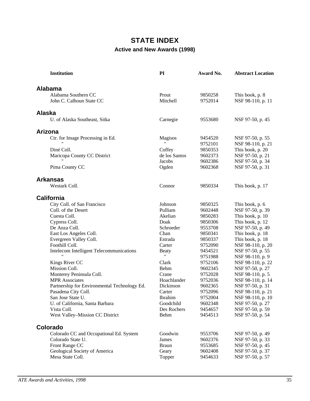# **STATE INDEX Active and New Awards (1998)**

| <b>Institution</b>                           | PI                 | Award No. | <b>Abstract Location</b> |
|----------------------------------------------|--------------------|-----------|--------------------------|
| <b>Alabama</b>                               |                    |           |                          |
| Alabama Southern CC                          | Prout              | 9850258   | This book, p. 8          |
| John C. Calhoun State CC                     | Mitchell           | 9752014   | NSF 98-110, p. 11        |
| <b>Alaska</b>                                |                    |           |                          |
| U. of Alaska Southeast, Sitka                | Carnegie           | 9553680   | NSF 97-50, p. 45         |
| Arizona                                      |                    |           |                          |
| Ctr. for Image Processing in Ed.             | <b>Magisos</b>     | 9454520   | NSF 97-50, p. 55         |
|                                              | $\pmb{\mathsf{H}}$ | 9752101   | NSF 98-110, p. 21        |
| Diné Coll.                                   | Coffey             | 9850353   | This book, p. 20         |
| Maricopa County CC District                  | de los Santos      | 9602373   | NSF 97-50, p. 21         |
|                                              | Jacobs             | 9602386   | NSF 97-50, p. 34         |
| Pima County CC                               | Ogden              | 9602368   | NSF 97-50, p. 31         |
| <b>Arkansas</b>                              |                    |           |                          |
| Westark Coll.                                | Connor             | 9850334   | This book, p. 17         |
| <b>California</b>                            |                    |           |                          |
| City Coll. of San Francisco                  | Johnson            | 9850325   | This book, p. 6          |
| Coll. of the Desert                          | Pulliam            | 9602448   | NSF 97-50, p. 39         |
| Cuesta Coll.                                 | Akelian            | 9850283   | This book, p. 10         |
| Cypress Coll.                                | Doak               | 9850306   | This book, p. 12         |
| De Anza Coll.                                | Schroeder          | 9553708   | NSF 97-50, p. 49         |
| East Los Angeles Coll.                       | Chan               | 9850341   | This book, p. 18         |
| Evergreen Valley Coll.                       | Estrada            | 9850337   | This book, p. 18         |
| Foothill Coll.                               | Carter             | 9752090   | NSF 98-110, p. 20        |
| Intelecom Intelligent Telecommunications     | <b>Beaty</b>       | 9454521   | NSF 97-50, p. 55         |
|                                              | 11                 | 9751988   | NSF 98-110, p. 9         |
| Kings River CC                               | Clark              | 9752106   | NSF 98-110, p. 22        |
| Mission Coll.                                | Behm               | 9602345   | NSF 97-50, p. 27         |
| Monterey Peninsula Coll.                     | Crane              | 9752028   | NSF 98-110, p. 5         |
| <b>MPR</b> Associates                        | Hoachlander        | 9752036   | NSF 98-110, p. 14        |
| Partnership for Environmental Technology Ed. | Dickinson          | 9602365   | NSF 97-50, p. 31         |
| Pasadena City Coll.                          | Carter             | 9752096   | NSF 98-110, p. 21        |
| San Jose State U.                            | Ibrahim            | 9752004   | NSF 98-110, p. 10        |
| U. of California, Santa Barbara              | Goodchild          | 9602348   | NSF 97-50, p. 27         |
| Vista Coll.                                  | Des Rochers        | 9454657   | NSF 97-50, p. 59         |
| West Valley-Mission CC District              | Behm               | 9454513   | NSF 97-50, p. 54         |
| Colorado                                     |                    |           |                          |
| Colorado CC and Occupational Ed. System      | Goodwin            | 9553706   | NSF 97-50, p. 49         |
| Colorado State U.                            | James              | 9602376   | NSF 97-50, p. 33         |
| Front Range CC                               | <b>Braun</b>       | 9553685   | NSF 97-50, p. 45         |
| Geological Society of America                | Geary              | 9602408   | NSF 97-50, p. 37         |
| Mesa State Coll.                             | Topper             | 9454633   | NSF 97-50, p. 57         |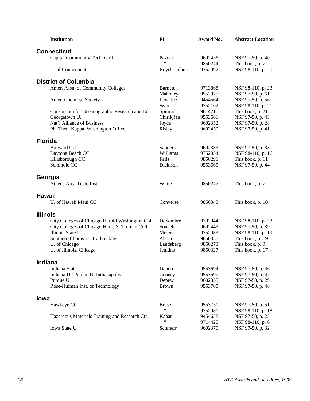| <b>Institution</b>                                                                                 | PI                                 | Award No. | <b>Abstract Location</b>              |
|----------------------------------------------------------------------------------------------------|------------------------------------|-----------|---------------------------------------|
| <b>Connecticut</b>                                                                                 |                                    |           |                                       |
| Capital Community Tech. Coll.                                                                      | Pazdar                             | 9602456   | NSF 97-50, p. 40                      |
|                                                                                                    | $\pmb{\mathsf{H}}$                 | 9850244   | This book, p. 7                       |
| U. of Connecticut                                                                                  | Roychoudhuri                       | 9752092   | NSF 98-110, p. 20                     |
| <b>District of Columbia</b>                                                                        |                                    |           |                                       |
| Amer. Assn. of Community Colleges                                                                  | <b>Barnett</b>                     | 9713868   | NSF 98-110, p. 23                     |
|                                                                                                    | Mahoney                            | 9552975   | NSF 97-50, p. 61                      |
| Amer. Chemical Society                                                                             | Lavallee                           | 9454564   | NSF 97-50, p. 56                      |
|                                                                                                    | Ware                               | 9752102   | NSF 98-110, p. 21                     |
| Consortium for Oceanographic Research and Ed.                                                      | Spinrad                            | 9814210   | This book, p. 21                      |
| Georgetown U.                                                                                      | Chirikjian                         | 9553661   | NSF 97-50, p. 43                      |
| Nat'l Alliance of Business                                                                         | Joyce                              | 9602352   | NSF 97-50, p. 28                      |
| Phi Theta Kappa, Washington Office                                                                 | Risley                             | 9602459   | NSF 97-50, p. 41                      |
| <b>Florida</b>                                                                                     |                                    |           |                                       |
| <b>Broward CC</b>                                                                                  | Sanders                            | 9602383   | NSF 97-50, p. 33                      |
| Daytona Beach CC                                                                                   | Williams                           | 9752054   | NSF 98-110, p. 16                     |
| Hillsborough CC                                                                                    | Falls                              | 9850291   | This book, p. 11                      |
| Seminole CC                                                                                        | Dickison                           | 9553665   | NSF 97-50, p. 44                      |
| Georgia                                                                                            |                                    |           |                                       |
| Athens Area Tech. Inst.                                                                            | White                              | 9850247   | This book, p. 7                       |
| <b>Hawaii</b>                                                                                      |                                    |           |                                       |
| U. of Hawaii Maui CC                                                                               | Converse                           | 9850343   | This book, p. 18                      |
| <b>Illinois</b>                                                                                    |                                    |           |                                       |
|                                                                                                    | DeSombre                           | 9702044   |                                       |
| City Colleges of Chicago Harold Washington Coll.<br>City Colleges of Chicago Harry S. Truman Coll. | Soucek                             | 9602443   | NSF 98-110, p. 23<br>NSF 97-50, p. 39 |
| Illinois State U.                                                                                  | Meier                              | 9752083   | NSF 98-110, p. 19                     |
| Southern Illinois U., Carbondale                                                                   | Abrate                             | 9850351   | This book, p. 19                      |
| U. of Chicago                                                                                      | Landsberg                          | 9850273   | This book, p. 9                       |
| U. of Illinois, Chicago                                                                            | Jenkins                            | 9850327   | This book, p. 17                      |
| <b>Indiana</b>                                                                                     |                                    |           |                                       |
| Indiana State U.                                                                                   |                                    | 9553694   | NSF 97-50, p. 46                      |
|                                                                                                    | Dando                              | 9553699   | NSF 97-50, p. 47                      |
| Indiana U.-Purdue U. Indianapolis<br>Purdue U.                                                     | Cooney<br>Depew                    | 9602355   | NSF 97-50, p. 29                      |
| Rose-Hulman Inst. of Technology                                                                    | <b>Brown</b>                       | 9553705   | NSF 97-50, p. 48                      |
|                                                                                                    |                                    |           |                                       |
| lowa                                                                                               |                                    |           |                                       |
| Hawkeye CC                                                                                         | <b>Brase</b><br>$\pmb{\mathsf{H}}$ | 9553751   | NSF 97-50, p. 51                      |
|                                                                                                    |                                    | 9752081   | NSF 98-110, p. 18                     |
| Hazardous Materials Training and Research Ctr.                                                     | Kabat                              | 9454638   | NSF 97-50, p. 25                      |
|                                                                                                    |                                    | 9714425   | NSF 98-110, p. 6                      |
| Iowa State U.                                                                                      | Schmerr                            | 9602370   | NSF 97-50, p. 32                      |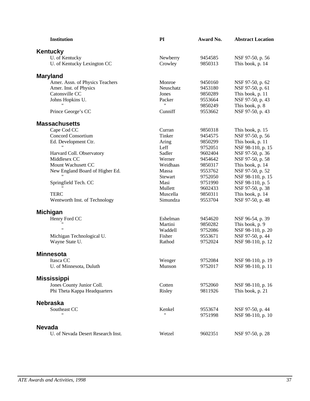| <b>Institution</b>                 | PI           | Award No. | <b>Abstract Location</b> |
|------------------------------------|--------------|-----------|--------------------------|
| Kentucky                           |              |           |                          |
| U. of Kentucky                     | Newberry     | 9454585   | NSF 97-50, p. 56         |
| U. of Kentucky Lexington CC        | Crowley      | 9850313   | This book, p. 14         |
| <b>Maryland</b>                    |              |           |                          |
| Amer. Assn. of Physics Teachers    | Monroe       | 9450160   | NSF 97-50, p. 62         |
| Amer. Inst. of Physics             | Neuschatz    | 9453180   | NSF 97-50, p. 61         |
| Catonsville CC                     | Jones        | 9850289   | This book, p. 11         |
| Johns Hopkins U.                   | Packer       | 9553664   | NSF 97-50, p. 43         |
|                                    | $\mathbf{H}$ | 9850249   | This book, p. 8          |
| Prince George's CC                 | Cunniff      | 9553662   | NSF 97-50, p. 43         |
| <b>Massachusetts</b>               |              |           |                          |
| Cape Cod CC                        | Curran       | 9850318   | This book, p. 15         |
| <b>Concord Consortium</b>          | Tinker       | 9454575   | NSF 97-50, p. 56         |
| Ed. Development Ctr.               | Aring        | 9850299   | This book, p. 11         |
|                                    | Leff         | 9752051   | NSF 98-110, p. 15        |
| Harvard Coll. Observatory          | Sadler       | 9602404   | NSF 97-50, p. 36         |
| Middlesex CC                       | Werner       | 9454642   | NSF 97-50, p. 58         |
| Mount Wachusett CC                 | Weidhaas     | 9850317   | This book, p. 14         |
| New England Board of Higher Ed.    | Massa        | 9553762   | NSF 97-50, p. 52         |
|                                    | Stewart      | 9752050   | NSF 98-110, p. 15        |
| Springfield Tech. CC               | Masi         | 9751990   | NSF 98-110, p. 5         |
|                                    | Mullett      | 9602433   | NSF 97-50, p. 38         |
| <b>TERC</b>                        | Muscella     | 9850311   | This book, p. 14         |
| Wentworth Inst. of Technology      | Simundza     | 9553704   | NSF 97-50, p. 48         |
| <b>Michigan</b>                    |              |           |                          |
| Henry Ford CC                      | Eshelman     | 9454620   | NSF 96-54, p. 39         |
|                                    | Martini      | 9850282   | This book, p. 9          |
| $^{\prime}$                        | Waddell      | 9752086   | NSF 98-110, p. 20        |
| Michigan Technological U.          | Fisher       | 9553671   | NSF 97-50, p. 44         |
| Wayne State U.                     | Rathod       | 9752024   | NSF 98-110, p. 12        |
| <b>Minnesota</b>                   |              |           |                          |
| Itasca CC                          | Wenger       | 9752084   | NSF 98-110, p. 19        |
| U. of Minnesota, Duluth            | Munson       | 9752017   | NSF 98-110, p. 11        |
| <b>Mississippi</b>                 |              |           |                          |
| Jones County Junior Coll.          | Cotten       | 9752060   | NSF 98-110, p. 16        |
| Phi Theta Kappa Headquarters       | Risley       | 9811926   | This book, p. 21         |
| <b>Nebraska</b>                    |              |           |                          |
| Southeast CC                       | Kenkel       | 9553674   | NSF 97-50, p. 44         |
|                                    |              | 9751998   | NSF 98-110, p. 10        |
| <b>Nevada</b>                      |              |           |                          |
| U. of Nevada Desert Research Inst. | Wetzel       | 9602351   | NSF 97-50, p. 28         |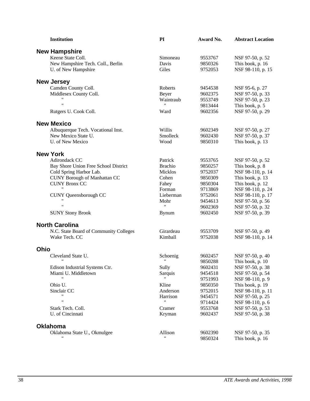| <b>Institution</b>                     | PI                 | Award No. | <b>Abstract Location</b> |
|----------------------------------------|--------------------|-----------|--------------------------|
| <b>New Hampshire</b>                   |                    |           |                          |
| Keene State Coll.                      | Simoneau           | 9553767   | NSF 97-50, p. 52         |
| New Hampshire Tech. Coll., Berlin      | Davis              | 9850326   | This book, p. 16         |
| U. of New Hampshire                    | Giles              | 9752053   | NSF 98-110, p. 15        |
| <b>New Jersey</b>                      |                    |           |                          |
| Camden County Coll.                    | Roberts            | 9454538   | NSF 95-6, p. 27          |
| Middlesex County Coll.                 | Beyer              | 9602375   | NSF 97-50, p. 33         |
|                                        | Waintraub          | 9553749   | NSF 97-50, p. 23         |
| $^{\prime\prime}$                      | Ħ                  | 9813444   | This book, p. 5          |
| Rutgers U. Cook Coll.                  | Ward               | 9602356   | NSF 97-50, p. 29         |
| <b>New Mexico</b>                      |                    |           |                          |
| Albuquerque Tech. Vocational Inst.     | Willis             | 9602349   | NSF 97-50, p. 27         |
| New Mexico State U.                    | Smolleck           | 9602430   | NSF 97-50, p. 37         |
| U. of New Mexico                       | Wood               | 9850310   | This book, p. 13         |
| <b>New York</b>                        |                    |           |                          |
| Adirondack CC                          | Patrick            | 9553765   | NSF 97-50, p. 52         |
| Bay Shore Union Free School District   | <b>Brachio</b>     | 9850257   | This book, p. 8          |
| Cold Spring Harbor Lab.                | Micklos            | 9752037   | NSF 98-110, p. 14        |
| CUNY Borough of Manhattan CC           | Cohen              | 9850309   | This book, p. 13         |
| <b>CUNY Bronx CC</b>                   | Fahey              | 9850304   | This book, p. 12         |
| $\pmb{\mathsf{H}}$                     | Forman             | 9713869   | NSF 98-110, p. 24        |
| <b>CUNY</b> Queensborough CC           | Lieberman          | 9752061   | NSF 98-110, p. 17        |
| $^{\prime\prime}$                      | Mohr               | 9454613   | NSF 97-50, p. 56         |
| $\pmb{\mathsf{H}}$                     | $\pmb{\mathsf{H}}$ | 9602369   | NSF 97-50, p. 32         |
| <b>SUNY Stony Brook</b>                | <b>Bynum</b>       | 9602450   | NSF 97-50, p. 39         |
| <b>North Carolina</b>                  |                    |           |                          |
| N.C. State Board of Community Colleges | Girardeau          | 9553709   | NSF 97-50, p. 49         |
| Wake Tech. CC                          | Kimball            | 9752038   | NSF 98-110, p. 14        |
| Ohio                                   |                    |           |                          |
| Cleveland State U.                     | Schoenig           | 9602457   | NSF 97-50, p. 40         |
|                                        | 11                 | 9850288   | This book, p. 10         |
| Edison Industrial Systems Ctr.         | Sully              | 9602431   | NSF 97-50, p. 38         |
| Miami U. Middletown                    | Sarquis            | 9454518   | NSF 97-50, p. 54         |
|                                        | $\pmb{\mathsf{H}}$ | 9751993   | NSF 98-110, p. 9         |
| Ohio U.                                | Kline              | 9850350   | This book, p. 19         |
| Sinclair CC                            | Anderson           | 9752015   | NSF 98-110, p. 11        |
|                                        | Harrison           | 9454571   | NSF 97-50, p. 25         |
| $\pmb{\mathsf{H}}$                     | 11                 | 9714424   | NSF 98-110, p. 6         |
| Stark Tech. Coll.                      | Cramer             | 9553768   | NSF 97-50, p. 53         |
| U. of Cincinnati                       | Kryman             | 9602437   | NSF 97-50, p. 38         |
| <b>Oklahoma</b>                        |                    |           |                          |
| Oklahoma State U., Okmulgee            | Allison            | 9602390   | NSF 97-50, p. 35         |
|                                        | 11                 | 9850324   | This book, p. 16         |
|                                        |                    |           |                          |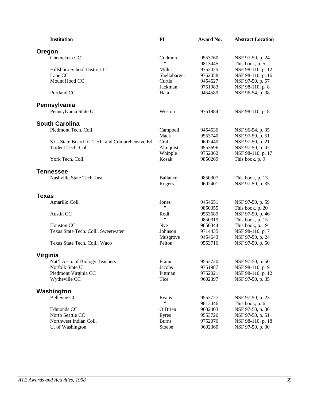| <b>Institution</b>                               | PI                          | Award No.          | <b>Abstract Location</b>              |
|--------------------------------------------------|-----------------------------|--------------------|---------------------------------------|
| <b>Oregon</b>                                    |                             |                    |                                       |
| Chemeketa CC                                     | Cudmore                     | 9553760            | NSF 97-50, p. 24                      |
|                                                  | $\pmb{\mathsf{H}}$          | 9813445            | This book, p. 5                       |
| Hillsboro School District 1J                     | Miller                      | 9752025            | NSF 98-110, p. 12                     |
| Lane CC                                          | Shellabarger                | 9752058            | NSF 98-110, p. 16                     |
| Mount Hood CC                                    | Curtis                      | 9454627            | NSF 97-50, p. 57                      |
|                                                  | Jackman                     | 9751983            | NSF 98-110, p. 8                      |
| Portland CC                                      | Hata                        | 9454589            | NSF 96-54, p. 38                      |
| Pennsylvania                                     |                             |                    |                                       |
|                                                  |                             |                    |                                       |
| Pennsylvania State U.                            | Weston                      | 9751984            | NSF 98-110, p. 8                      |
| <b>South Carolina</b>                            |                             |                    |                                       |
| Piedmont Tech. Coll.                             | Campbell                    | 9454536            | NSF 96-54, p. 35                      |
|                                                  | Mack                        | 9553740            | NSF 97-50, p. 51                      |
| S.C. State Board for Tech. and Comprehensive Ed. | Craft                       | 9602440            | NSF 97-50, p. 21                      |
| Trident Tech. Coll.                              | Almquist                    | 9553696            | NSF 97-50, p. 47                      |
| "                                                | Whipple                     | 9752062            | NSF 98-110, p. 17                     |
| York Tech. Coll.                                 | Kosak                       | 9850269            | This book, p. 9                       |
| <b>Tennessee</b>                                 |                             |                    |                                       |
| Nashville State Tech. Inst.                      | <b>Ballance</b>             | 9850307            | This book, p. 13                      |
|                                                  | Rogers                      | 9602401            | NSF 97-50, p. 35                      |
| <b>Texas</b>                                     |                             |                    |                                       |
| Amarillo Coll.                                   | Jones                       | 9454651            | NSF 97-50, p. 59                      |
|                                                  | 11                          | 9850355            | This book, p. 20                      |
| Austin CC                                        | Rodi                        | 9553689            | NSF 97-50, p. 46                      |
| 11                                               | $\pmb{\mathsf{H}}$          | 9850319            | This book, p. 15                      |
| <b>Houston CC</b>                                | Nye                         | 9850344            | This book, p. 19                      |
| Texas State Tech. Coll., Sweetwater              | Johnson                     | 9714435            | NSF 98-110, p. 7                      |
|                                                  | Musgrove                    | 9454643            | NSF 97-50, p. 24                      |
| Texas State Tech. Coll., Waco                    | Pelton                      | 9553716            | NSF 97-50, p. 50                      |
| Virginia                                         |                             |                    |                                       |
|                                                  | Frame                       | 9553720            |                                       |
| Nat'l Assn. of Biology Teachers                  |                             |                    | NSF 97-50, p. 50<br>NSF 98-110, p. 9  |
| Norfolk State U.                                 | Jacobs<br>Pittman           | 9751987            |                                       |
| Piedmont Virginia CC<br>Wytheville CC            | Tice                        | 9752021<br>9602397 | NSF 98-110, p. 12<br>NSF 97-50, p. 35 |
|                                                  |                             |                    |                                       |
| Washington                                       |                             |                    |                                       |
| Bellevue CC                                      | Evans<br>$\pmb{\mathsf{H}}$ | 9553727            | NSF 97-50, p. 23                      |
|                                                  |                             | 9813446            | This book, p. 6                       |
| Edmonds CC                                       | O'Brien                     | 9602403            | NSF 97-50, p. 36                      |
| North Seattle CC                                 | Eyres                       | 9553726            | NSF 97-50, p. 51                      |
| Northwest Indian Coll.                           | <b>Burns</b>                | 9752076            | NSF 98-110, p. 18                     |
| U. of Washington                                 | Stoebe                      | 9602360            | NSF 97-50, p. 30                      |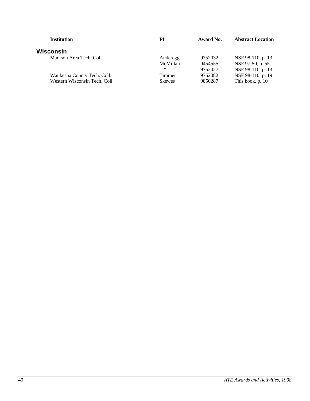| РI                                                                                       | Award No. | <b>Abstract Location</b> |
|------------------------------------------------------------------------------------------|-----------|--------------------------|
|                                                                                          |           |                          |
| Anderegg                                                                                 | 9752032   | NSF 98-110, p. 13        |
| McMillan                                                                                 | 9454555   | NSF 97-50, p. 55         |
| ,,                                                                                       | 9752027   | NSF 98-110, p. 13        |
| Timmer                                                                                   | 9752082   | NSF 98-110, p. 19        |
| <b>Skewes</b>                                                                            | 9850287   | This book, p. 10         |
| Madison Area Tech. Coll.<br>Waukesha County Tech. Coll.<br>Western Wisconsin Tech. Coll. |           |                          |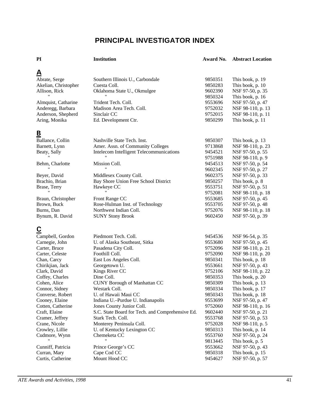# **PRINCIPAL INVESTIGATOR INDEX**

#### **PI Institution Award No. Abstract Location**

| <u>А</u>             |                                                  |         |                   |
|----------------------|--------------------------------------------------|---------|-------------------|
| Abrate, Serge        | Southern Illinois U., Carbondale                 | 9850351 | This book, p. 19  |
| Akelian, Christopher | Cuesta Coll.                                     | 9850283 | This book, p. 10  |
| Allison, Rick        | Oklahoma State U., Okmulgee                      | 9602390 | NSF 97-50, p. 35  |
|                      |                                                  | 9850324 | This book, p. 16  |
| Almquist, Catharine  | Trident Tech. Coll.                              | 9553696 | NSF 97-50, p. 47  |
| Anderegg, Barbara    | Madison Area Tech. Coll.                         | 9752032 | NSF 98-110, p. 13 |
| Anderson, Shepherd   | Sinclair CC                                      | 9752015 | NSF 98-110, p. 11 |
| Aring, Monika        | Ed. Development Ctr.                             | 9850299 | This book, p. 11  |
| <u>B</u>             |                                                  |         |                   |
| Ballance, Collin     | Nashville State Tech. Inst.                      | 9850307 | This book, p. 13  |
| Barnett, Lynn        | Amer. Assn. of Community Colleges                | 9713868 | NSF 98-110, p. 23 |
| Beaty, Sally         | Intelecom Intelligent Telecommunications         | 9454521 | NSF 97-50, p. 55  |
|                      |                                                  | 9751988 | NSF 98-110, p. 9  |
| Behm, Charlotte      | Mission Coll.                                    | 9454513 | NSF 97-50, p. 54  |
|                      |                                                  | 9602345 |                   |
|                      |                                                  |         | NSF 97-50, p. 27  |
| Beyer, David         | Middlesex County Coll.                           | 9602375 | NSF 97-50, p. 33  |
| Brachio, Brian       | Bay Shore Union Free School District             | 9850257 | This book, p. 8   |
| Brase, Terry         | Hawkeye CC                                       | 9553751 | NSF 97-50, p. 51  |
|                      |                                                  | 9752081 | NSF 98-110, p. 18 |
| Braun, Christopher   | Front Range CC                                   | 9553685 | NSF 97-50, p. 45  |
| Brown, Buck          | Rose-Hulman Inst. of Technology                  | 9553705 | NSF 97-50, p. 48  |
| Burns, Dan           | Northwest Indian Coll.                           | 9752076 | NSF 98-110, p. 18 |
| Bynum, R. David      | <b>SUNY Stony Brook</b>                          | 9602450 | NSF 97-50, p. 39  |
| <u>C</u>             |                                                  |         |                   |
|                      |                                                  |         |                   |
| Campbell, Gordon     | Piedmont Tech. Coll.                             | 9454536 | NSF 96-54, p. 35  |
| Carnegie, John       | U. of Alaska Southeast, Sitka                    | 9553680 | NSF 97-50, p. 45  |
| Carter, Bruce        | Pasadena City Coll.                              | 9752096 | NSF 98-110, p. 21 |
| Carter, Celeste      | Foothill Coll.                                   | 9752090 | NSF 98-110, p. 20 |
| Chan, Carcy          | East Los Angeles Coll.                           | 9850341 | This book, p. 18  |
| Chirikjian, Jack     | Georgetown U.                                    | 9553661 | NSF 97-50, p. 43  |
| Clark, David         | Kings River CC                                   | 9752106 | NSF 98-110, p. 22 |
| Coffey, Charles      | Dine Coll.                                       | 9850353 | This book, p. 20  |
| Cohen, Alice         | <b>CUNY Borough of Manhattan CC</b>              | 9850309 | This book, p. 13  |
| Connor, Sidney       | Westark Coll.                                    | 9850334 | This book, p. 17  |
| Converse, Robert     | U. of Hawaii Maui CC                             | 9850343 | This book, p. 18  |
| Cooney, Elaine       | Indiana U.-Purdue U. Indianapolis                | 9553699 | NSF 97-50, p. 47  |
| Cotten, Catherine    | Jones County Junior Coll.                        | 9752060 | NSF 98-110, p. 16 |
| Craft, Elaine        | S.C. State Board for Tech. and Comprehensive Ed. | 9602440 | NSF 97-50, p. 21  |
| Cramer, Jeffrey      | Stark Tech. Coll.                                | 9553768 | NSF 97-50, p. 53  |
| Crane, Nicole        | Monterey Peninsula Coll.                         | 9752028 | NSF 98-110, p. 5  |
| Crowley, Lillie      | U. of Kentucky Lexington CC                      | 9850313 | This book, p. 14  |
| Cudmore, Wynn        | Chemeketa CC                                     | 9553760 | NSF 97-50, p. 24  |
|                      |                                                  | 9813445 | This book, p. 5   |
| Cunniff, Patricia    | Prince George's CC                               | 9553662 | NSF 97-50, p. 43  |
| Curran, Mary         | Cape Cod CC                                      | 9850318 | This book, p. 15  |
| Curtis, Catherine    | Mount Hood CC                                    | 9454627 | NSF 97-50, p. 57  |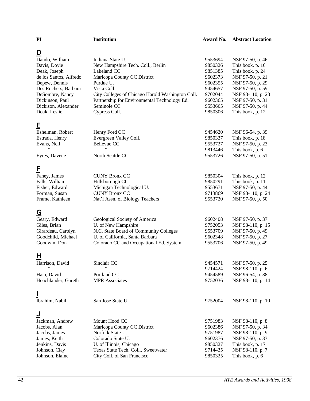#### **PI Institution Award No. Abstract Location**

| <u>D</u>                           |                                                  |         |                                      |
|------------------------------------|--------------------------------------------------|---------|--------------------------------------|
| Dando, William                     | Indiana State U.                                 | 9553694 | NSF 97-50, p. 46                     |
| Davis, Doyle                       | New Hampshire Tech. Coll., Berlin                | 9850326 | This book, p. 16                     |
| Deak, Joseph                       | Lakeland CC                                      | 9851385 | This book, p. 24                     |
| de los Santos, Alfredo             | Maricopa County CC District                      | 9602373 | NSF 97-50, p. 21                     |
| Depew, Dennis                      | Purdue U.                                        | 9602355 | NSF 97-50, p. 29                     |
| Des Rochers, Barbara               | Vista Coll.                                      | 9454657 | NSF 97-50, p. 59                     |
| DeSombre, Nancy                    | City Colleges of Chicago Harold Washington Coll. | 9702044 | NSF 98-110, p. 23                    |
| Dickinson, Paul                    | Partnership for Environmental Technology Ed.     | 9602365 | NSF 97-50, p. 31                     |
| Dickison, Alexander                | Seminole CC                                      | 9553665 | NSF 97-50, p. 44                     |
| Doak, Leslie                       | Cypress Coll.                                    | 9850306 | This book, p. 12                     |
|                                    |                                                  |         |                                      |
| Ē                                  | Henry Ford CC                                    | 9454620 |                                      |
| Eshelman, Robert<br>Estrada, Henry | Evergreen Valley Coll.                           | 9850337 | NSF 96-54, p. 39<br>This book, p. 18 |
| Evans, Neil                        | Bellevue CC                                      | 9553727 | NSF 97-50, p. 23                     |
|                                    |                                                  | 9813446 | This book, p. 6                      |
| Eyres, Davene                      | North Seattle CC                                 | 9553726 | NSF 97-50, p. 51                     |
|                                    |                                                  |         |                                      |
| E                                  |                                                  |         |                                      |
| Fahey, James                       | <b>CUNY Bronx CC</b>                             | 9850304 | This book, p. 12                     |
| Falls, William                     | Hillsborough CC                                  | 9850291 | This book, p. 11                     |
| Fisher, Edward                     | Michigan Technological U.                        | 9553671 | NSF 97-50, p. 44                     |
| Forman, Susan                      | <b>CUNY Bronx CC</b>                             | 9713869 | NSF 98-110, p. 24                    |
| Frame, Kathleen                    | Nat'l Assn. of Biology Teachers                  | 9553720 | NSF 97-50, p. 50                     |
| <u>G</u>                           |                                                  |         |                                      |
| Geary, Edward                      | Geological Society of America                    | 9602408 | NSF 97-50, p. 37                     |
| Giles, Brian                       | U. of New Hampshire                              | 9752053 | NSF 98-110, p. 15                    |
| Girardeau, Carolyn                 | N.C. State Board of Community Colleges           | 9553709 | NSF 97-50, p. 49                     |
| Goodchild, Michael                 | U. of California, Santa Barbara                  | 9602348 | NSF 97-50, p. 27                     |
| Goodwin, Don                       | Colorado CC and Occupational Ed. System          | 9553706 | NSF 97-50, p. 49                     |
|                                    |                                                  |         |                                      |
| H                                  |                                                  |         |                                      |
| Harrison, David                    | Sinclair CC                                      | 9454571 | NSF 97-50, p. 25                     |
|                                    |                                                  | 9714424 | NSF 98-110, p. 6                     |
| Hata, David                        | Portland CC                                      | 9454589 | NSF 96-54, p. 38                     |
| Hoachlander, Gareth                | <b>MPR</b> Associates                            | 9752036 | NSF 98-110, p. 14                    |
|                                    |                                                  |         |                                      |
| Ibrahim, Nabil                     | San Jose State U.                                | 9752004 | NSF 98-110, p. 10                    |
|                                    |                                                  |         |                                      |
| <u>ل</u>                           |                                                  |         |                                      |
| Jackman, Andrew                    | Mount Hood CC                                    | 9751983 | NSF 98-110, p. 8                     |
| Jacobs, Alan                       | Maricopa County CC District                      | 9602386 | NSF 97-50, p. 34                     |
| Jacobs, James                      | Norfolk State U.                                 | 9751987 | NSF 98-110, p. 9                     |
| James, Keith                       | Colorado State U.                                | 9602376 | NSF 97-50, p. 33                     |
| Jenkins, Davis                     | U. of Illinois, Chicago                          | 9850327 | This book, p. 17                     |
| Johnson, Clay                      | Texas State Tech. Coll., Sweetwater              | 9714435 | NSF 98-110, p. 7                     |
| Johnson, Elaine                    | City Coll. of San Francisco                      | 9850325 | This book, p. 6                      |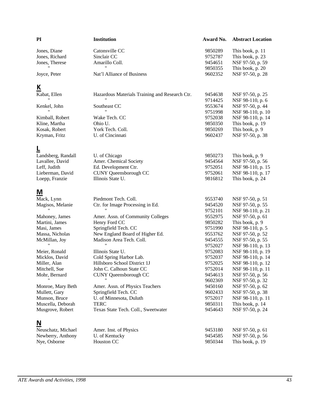| PI                 | <b>Institution</b>                             | Award No. | <b>Abstract Location</b> |
|--------------------|------------------------------------------------|-----------|--------------------------|
| Jones, Diane       | Catonsville CC                                 | 9850289   | This book, p. 11         |
| Jones, Richard     | Sinclair CC                                    | 9752787   | This book, p. 23         |
| Jones, Therese     | Amarillo Coll.                                 | 9454651   | NSF 97-50, p. 59         |
|                    |                                                | 9850355   | This book, p. 20         |
| Joyce, Peter       | Nat'l Alliance of Business                     | 9602352   | NSF 97-50, p. 28         |
| <u>К</u>           |                                                |           |                          |
| Kabat, Ellen       | Hazardous Materials Training and Research Ctr. | 9454638   | NSF 97-50, p. 25         |
|                    |                                                | 9714425   | NSF 98-110, p. 6         |
| Kenkel, John       | Southeast CC                                   | 9553674   | NSF 97-50, p. 44         |
|                    |                                                | 9751998   | NSF 98-110, p. 10        |
| Kimball, Robert    | Wake Tech. CC                                  | 9752038   | NSF 98-110, p. 14        |
| Kline, Martha      | Ohio U.                                        | 9850350   | This book, p. 19         |
| Kosak, Robert      | York Tech. Coll.                               | 9850269   | This book, p. 9          |
| Kryman, Fritz      | U. of Cincinnati                               | 9602437   | NSF 97-50, p. 38         |
|                    |                                                |           |                          |
| Landsberg, Randall | U. of Chicago                                  | 9850273   | This book, p. 9          |
| Lavallee, David    | Amer. Chemical Society                         | 9454564   | NSF 97-50, p. 56         |
| Leff, Judith       | Ed. Development Ctr.                           | 9752051   | NSF 98-110, p. 15        |
| Lieberman, David   | CUNY Queensborough CC                          | 9752061   | NSF 98-110, p. 17        |
| Loepp, Franzie     | Illinois State U.                              | 9816812   | This book, p. 24         |
| M                  |                                                |           |                          |
| Mack, Lynn         | Piedmont Tech. Coll.                           | 9553740   | NSF 97-50, p. 51         |
| Magisos, Melanie   | Ctr. for Image Processing in Ed.               | 9454520   | NSF 97-50, p. 55         |
|                    |                                                | 9752101   | NSF 98-110, p. 21        |
| Mahoney, James     | Amer. Assn. of Community Colleges              | 9552975   | NSF 97-50, p. 61         |
| Martini, James     | Henry Ford CC                                  | 9850282   | This book, p. 9          |
| Masi, James        | Springfield Tech. CC                           | 9751990   | NSF 98-110, p. 5         |
| Massa, Nicholas    | New England Board of Higher Ed.                | 9553762   | NSF 97-50, p. 52         |
| McMillan, Joy      | Madison Area Tech. Coll.                       | 9454555   | NSF 97-50, p. 55         |
|                    |                                                | 9752027   | NSF 98-110, p. 13        |
| Meier, Ronald      | Illinois State U.                              | 9752083   | NSF 98-110, p. 19        |
| Micklos, David     | Cold Spring Harbor Lab.                        | 9752037   | NSF 98-110, p. 14        |
| Miller, Alan       | Hillsboro School District 1J                   | 9752025   | NSF 98-110, p. 12        |
| Mitchell, Sue      | John C. Calhoun State CC                       | 9752014   | NSF 98-110, p. 11        |
| Mohr, Bernard      | <b>CUNY</b> Queensborough CC                   | 9454613   | NSF 97-50, p. 56         |
|                    |                                                | 9602369   | NSF 97-50, p. 32         |
| Monroe, Mary Beth  | Amer. Assn. of Physics Teachers                | 9450160   | NSF 97-50, p. 62         |
| Mullett, Gary      | Springfield Tech. CC                           | 9602433   | NSF 97-50, p. 38         |
| Munson, Bruce      | U. of Minnesota, Duluth                        | 9752017   | NSF 98-110, p. 11        |
| Muscella, Deborah  | <b>TERC</b>                                    | 9850311   | This book, p. 14         |
| Musgrove, Robert   | Texas State Tech. Coll., Sweetwater            | 9454643   | NSF 97-50, p. 24         |
| N                  |                                                |           |                          |
| Neuschatz, Michael | Amer. Inst. of Physics                         | 9453180   | NSF 97-50, p. 61         |
| Newberry, Anthony  | U. of Kentucky                                 | 9454585   | NSF 97-50, p. 56         |
| Nye, Osborne       | Houston CC                                     | 9850344   | This book, p. 19         |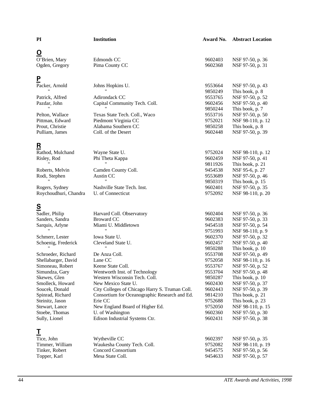| PI                                 | Institution                                                           | Award No.          | <b>Abstract Location</b>              |
|------------------------------------|-----------------------------------------------------------------------|--------------------|---------------------------------------|
| O                                  |                                                                       |                    |                                       |
| O'Brien, Mary                      | Edmonds CC                                                            | 9602403            | NSF 97-50, p. 36                      |
| Ogden, Gregory                     | Pima County CC                                                        | 9602368            | NSF 97-50, p. 31                      |
| <u>P</u>                           |                                                                       |                    |                                       |
| Packer, Arnold                     | Johns Hopkins U.                                                      | 9553664            | NSF 97-50, p. 43                      |
|                                    |                                                                       | 9850249            | This book, p. 8                       |
| Patrick, Alfred                    | Adirondack CC                                                         | 9553765            | NSF 97-50, p. 52                      |
| Pazdar, John                       | Capital Community Tech. Coll.                                         | 9602456            | NSF 97-50, p. 40                      |
|                                    |                                                                       | 9850244            | This book, p. 7                       |
| Pelton, Wallace                    | Texas State Tech. Coll., Waco                                         | 9553716            | NSF 97-50, p. 50                      |
| Pittman, Edward                    | Piedmont Virginia CC                                                  | 9752021            | NSF 98-110, p. 12                     |
| Prout, Christie                    | Alabama Southern CC                                                   | 9850258            | This book, p. 8                       |
| Pulliam, James                     | Coll. of the Desert                                                   | 9602448            | NSF 97-50, p. 39                      |
| <u>R</u>                           |                                                                       |                    |                                       |
| Rathod, Mulchand                   | Wayne State U.                                                        | 9752024            | NSF 98-110, p. 12                     |
| Risley, Rod                        | Phi Theta Kappa                                                       | 9602459            | NSF 97-50, p. 41                      |
|                                    | $^{\prime\prime}$                                                     | 9811926            | This book, p. 21                      |
| Roberts, Melvin                    | Camden County Coll.                                                   | 9454538            | NSF 95-6, p. 27                       |
| Rodi, Stephen                      | Austin CC                                                             | 9553689            | NSF 97-50, p. 46                      |
|                                    |                                                                       | 9850319            | This book, p. 15                      |
| Rogers, Sydney                     | Nashville State Tech. Inst.                                           | 9602401            | NSF 97-50, p. 35                      |
| Roychoudhuri, Chandra              | U. of Connecticut                                                     | 9752092            | NSF 98-110, p. 20                     |
| $\mathbf{\underline{s}}$           |                                                                       |                    |                                       |
| Sadler, Philip                     | Harvard Coll. Observatory                                             | 9602404            | NSF 97-50, p. 36                      |
| Sanders, Sandra                    | <b>Broward CC</b>                                                     | 9602383            | NSF 97-50, p. 33                      |
| Sarquis, Arlyne                    | Miami U. Middletown                                                   | 9454518            | NSF 97-50, p. 54                      |
|                                    | $^{\prime\prime}$                                                     | 9751993            | NSF 98-110, p. 9                      |
| Schmerr, Lester                    | Iowa State U.                                                         | 9602370            | NSF 97-50, p. 32                      |
| Schoenig, Frederick                | Cleveland State U.                                                    | 9602457            | NSF 97-50, p. 40                      |
|                                    | $\pmb{\mathsf{H}}$                                                    | 9850288            | This book, p. 10                      |
| Schroeder, Richard                 | De Anza Coll.                                                         | 9553708            | NSF 97-50, p. 49                      |
| Shellabarger, David                | Lane CC                                                               | 9752058            | NSF 98-110, p. 16                     |
| Simoneau, Robert                   | Keene State Coll.                                                     | 9553767            | NSF 97-50, p. 52                      |
| Simundza, Gary                     | Wentworth Inst. of Technology                                         | 9553704            | NSF 97-50, p. 48                      |
| Skewes, Glen                       | Western Wisconsin Tech. Coll.                                         | 9850287            | This book, p. 10                      |
| Smolleck, Howard<br>Soucek, Donald | New Mexico State U.<br>City Colleges of Chicago Harry S. Truman Coll. | 9602430<br>9602443 | NSF 97-50, p. 37                      |
| Spinrad, Richard                   | Consortium for Oceanographic Research and Ed.                         | 9814210            | NSF 97-50, p. 39<br>This book, p. 21  |
| Steinitz, Jason                    | Erie CC                                                               | 9752688            | This book, p. 23                      |
| Stewart, Lance                     | New England Board of Higher Ed.                                       | 9752050            | NSF 98-110, p. 15                     |
| Stoebe, Thomas                     | U. of Washington                                                      | 9602360            | NSF 97-50, p. 30                      |
| Sully, Lionel                      | Edison Industrial Systems Ctr.                                        | 9602431            | NSF 97-50, p. 38                      |
| T                                  |                                                                       |                    |                                       |
| Tice, John                         |                                                                       |                    |                                       |
| Timmer, William                    | Wytheville CC<br>Waukesha County Tech. Coll.                          | 9602397<br>9752082 | NSF 97-50, p. 35<br>NSF 98-110, p. 19 |
| Tinker, Robert                     | Concord Consortium                                                    | 9454575            | NSF 97-50, p. 56                      |
| Topper, Karl                       | Mesa State Coll.                                                      | 9454633            | NSF 97-50, p. 57                      |
|                                    |                                                                       |                    |                                       |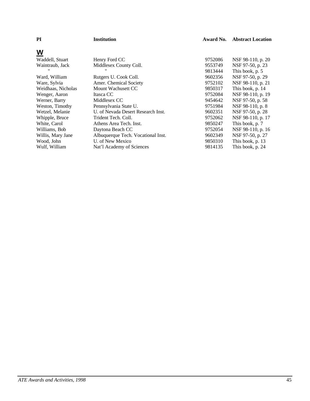| PI                 | <b>Institution</b>                 | Award No. | <b>Abstract Location</b> |
|--------------------|------------------------------------|-----------|--------------------------|
| W                  |                                    |           |                          |
| Waddell, Stuart    | Henry Ford CC                      | 9752086   | NSF 98-110, p. 20        |
| Waintraub, Jack    | Middlesex County Coll.             | 9553749   | NSF 97-50, p. 23         |
|                    |                                    | 9813444   | This book, p. 5          |
| Ward, William      | Rutgers U. Cook Coll.              | 9602356   | NSF 97-50, p. 29         |
| Ware, Sylvia       | Amer. Chemical Society             | 9752102   | NSF 98-110, p. 21        |
| Weidhaas, Nicholas | Mount Wachusett CC                 | 9850317   | This book, p. 14         |
| Wenger, Aaron      | Itasca CC                          | 9752084   | NSF 98-110, p. 19        |
| Werner, Barry      | Middlesex CC                       | 9454642   | NSF 97-50, p. 58         |
| Weston, Timothy    | Pennsylvania State U.              | 9751984   | NSF 98-110, p. 8         |
| Wetzel, Melanie    | U. of Nevada Desert Research Inst. | 9602351   | NSF 97-50, p. 28         |
| Whipple, Bruce     | Trident Tech. Coll.                | 9752062   | NSF 98-110, p. 17        |
| White, Carol       | Athens Area Tech. Inst.            | 9850247   | This book, p. 7          |
| Williams, Bob      | Daytona Beach CC                   | 9752054   | NSF 98-110, p. 16        |
| Willis, Mary Jane  | Albuquerque Tech. Vocational Inst. | 9602349   | NSF 97-50, p. 27         |
| Wood, John         | U. of New Mexico                   | 9850310   | This book, p. 13         |
| Wulf, William      | Nat'l Academy of Sciences          | 9814135   | This book, p. 24         |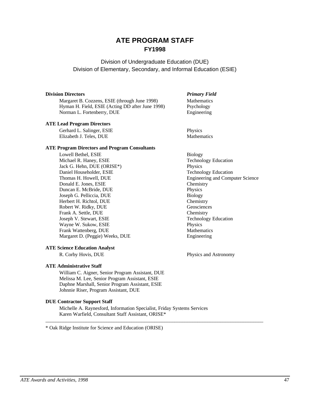# **ATE PROGRAM STAFF FY1998**

#### Division of Undergraduate Education (DUE) Division of Elementary, Secondary, and Informal Education (ESIE)

#### **Division Directors** *Primary Field*

Margaret B. Cozzens, ESIE (through June 1998) Mathematics Hyman H. Field, ESIE (Acting DD after June 1998) Psychology Norman L. Fortenberry, DUE Engineering

#### **ATE Lead Program Directors**

Gerhard L. Salinger, ESIE Physics Elizabeth J. Teles, DUE Mathematics

#### **ATE Program Directors and Program Consultants**

Lowell Bethel, ESIE Biology Michael R. Haney, ESIE Technology Education Jack G. Hehn, DUE (ORISE\*) Physics Daniel Householder, ESIE Technology Education Thomas H. Howell, DUE **Engineering and Computer Science** Donald E. Jones, ESIE Chemistry Duncan E. McBride, DUE Physics Joseph G. Pelliccia, DUE Biology<br>
Herbert H. Richtol, DUE Chemistry Herbert H. Richtol, DUE Robert W. Ridky, DUE Geosciences Frank A. Settle, DUE<br>
Joseph V. Stewart, ESIE<br>
Technology Education Joseph V. Stewart, ESIE Wayne W. Sukow, ESIE Physics Frank Wattenberg, DUE Mathematics Margaret D. (Peggie) Weeks, DUE Engineering

#### **ATE Science Education Analyst**

#### **ATE Administrative Staff**

William C. Aigner, Senior Program Assistant, DUE Melissa M. Lee, Senior Program Assistant, ESIE Daphne Marshall, Senior Program Assistant, ESIE Johnnie Riser, Program Assistant, DUE

#### **DUE Contractor Support Staff**

Michelle A. Raynesford, Information Specialist, Friday Systems Services Karen Warfield, Consultant Staff Assistant, ORISE\*

\_\_\_\_\_\_\_\_\_\_\_\_\_\_\_\_\_\_\_\_\_\_\_\_\_\_\_\_\_\_\_\_\_\_\_\_\_\_\_\_\_\_\_\_\_\_\_\_\_\_\_\_\_\_\_\_\_\_\_\_\_\_\_\_\_\_\_\_\_\_\_\_\_\_\_\_\_\_\_\_\_\_\_\_\_\_

\* Oak Ridge Institute for Science and Education (ORISE)

R. Corby Hovis, DUE Physics and Astronomy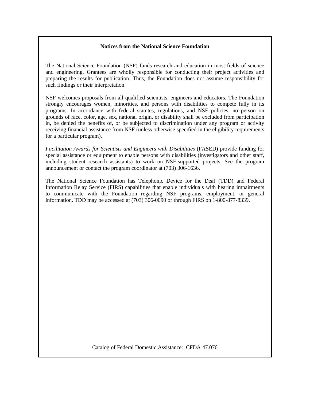#### **Notices from the National Science Foundation**

The National Science Foundation (NSF) funds research and education in most fields of science and engineering. Grantees are wholly responsible for conducting their project activities and preparing the results for publication. Thus, the Foundation does not assume responsibility for such findings or their interpretation.

NSF welcomes proposals from all qualified scientists, engineers and educators. The Foundation strongly encourages women, minorities, and persons with disabilities to compete fully in its programs. In accordance with federal statutes, regulations, and NSF policies, no person on grounds of race, color, age, sex, national origin, or disability shall be excluded from participation in, be denied the benefits of, or be subjected to discrimination under any program or activity receiving financial assistance from NSF (unless otherwise specified in the eligibility requirements for a particular program).

*Facilitation Awards for Scientists and Engineers with Disabilities* (FASED) provide funding for special assistance or equipment to enable persons with disabilities (investigators and other staff, including student research assistants) to work on NSF-supported projects. See the program announcement or contact the program coordinator at (703) 306-1636.

The National Science Foundation has Telephonic Device for the Deaf (TDD) and Federal Information Relay Service (FIRS) capabilities that enable individuals with hearing impairments to communicate with the Foundation regarding NSF programs, employment, or general information. TDD may be accessed at (703) 306-0090 or through FIRS on 1-800-877-8339.

Catalog of Federal Domestic Assistance: CFDA 47.076